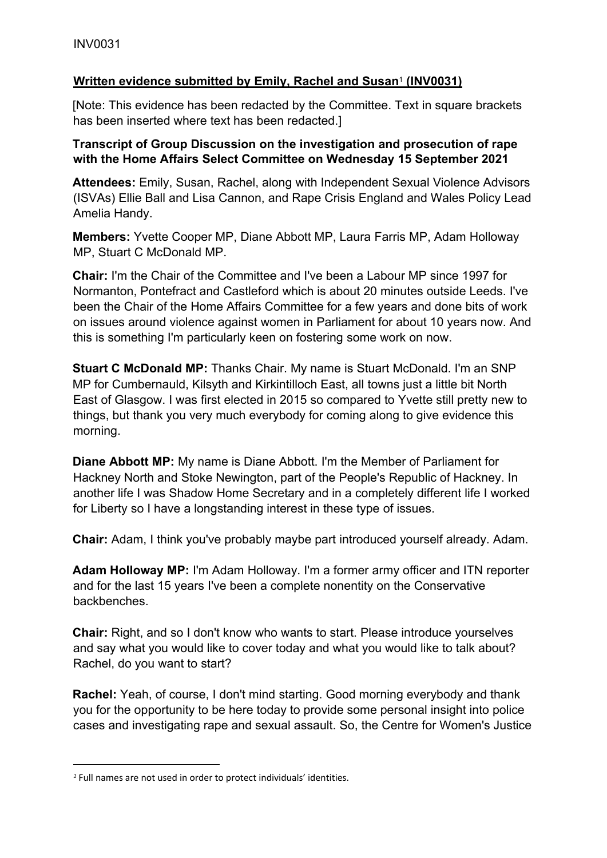# **Written evidence submitted by Emily, Rachel and Susan**<sup>1</sup> **(INV0031)**

[Note: This evidence has been redacted by the Committee. Text in square brackets has been inserted where text has been redacted.]

## **Transcript of Group Discussion on the investigation and prosecution of rape with the Home Affairs Select Committee on Wednesday 15 September 2021**

**Attendees:** Emily, Susan, Rachel, along with Independent Sexual Violence Advisors (ISVAs) Ellie Ball and Lisa Cannon, and Rape Crisis England and Wales Policy Lead Amelia Handy.

**Members:** Yvette Cooper MP, Diane Abbott MP, Laura Farris MP, Adam Holloway MP, Stuart C McDonald MP.

**Chair:** I'm the Chair of the Committee and I've been a Labour MP since 1997 for Normanton, Pontefract and Castleford which is about 20 minutes outside Leeds. I've been the Chair of the Home Affairs Committee for a few years and done bits of work on issues around violence against women in Parliament for about 10 years now. And this is something I'm particularly keen on fostering some work on now.

**Stuart C McDonald MP:** Thanks Chair. My name is Stuart McDonald. I'm an SNP MP for Cumbernauld, Kilsyth and Kirkintilloch East, all towns just a little bit North East of Glasgow. I was first elected in 2015 so compared to Yvette still pretty new to things, but thank you very much everybody for coming along to give evidence this morning.

**Diane Abbott MP:** My name is Diane Abbott. I'm the Member of Parliament for Hackney North and Stoke Newington, part of the People's Republic of Hackney. In another life I was Shadow Home Secretary and in a completely different life I worked for Liberty so I have a longstanding interest in these type of issues.

**Chair:** Adam, I think you've probably maybe part introduced yourself already. Adam.

**Adam Holloway MP:** I'm Adam Holloway. I'm a former army officer and ITN reporter and for the last 15 years I've been a complete nonentity on the Conservative backbenches.

**Chair:** Right, and so I don't know who wants to start. Please introduce yourselves and say what you would like to cover today and what you would like to talk about? Rachel, do you want to start?

**Rachel:** Yeah, of course, I don't mind starting. Good morning everybody and thank you for the opportunity to be here today to provide some personal insight into police cases and investigating rape and sexual assault. So, the Centre for Women's Justice

*<sup>1</sup>* Full names are not used in order to protect individuals' identities.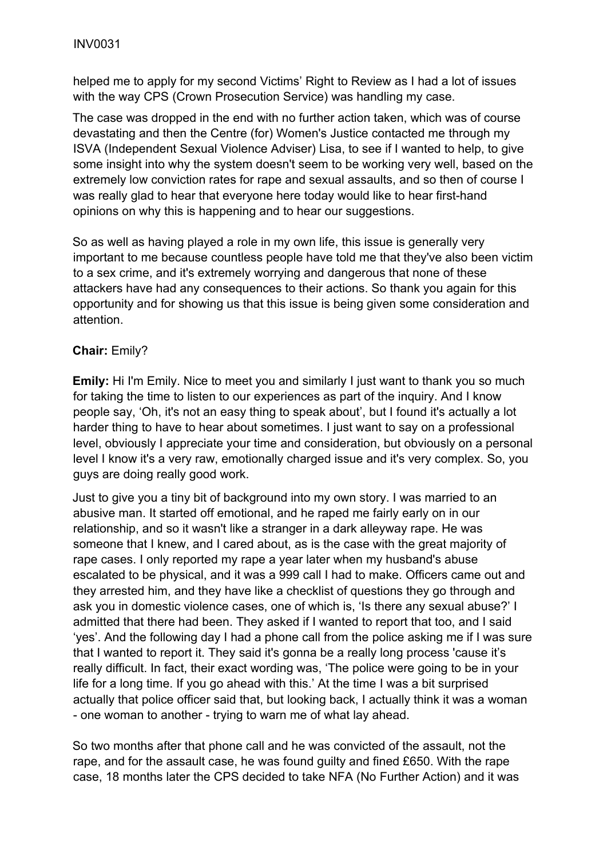helped me to apply for my second Victims' Right to Review as I had a lot of issues with the way CPS (Crown Prosecution Service) was handling my case.

The case was dropped in the end with no further action taken, which was of course devastating and then the Centre (for) Women's Justice contacted me through my ISVA (Independent Sexual Violence Adviser) Lisa, to see if I wanted to help, to give some insight into why the system doesn't seem to be working very well, based on the extremely low conviction rates for rape and sexual assaults, and so then of course I was really glad to hear that everyone here today would like to hear first-hand opinions on why this is happening and to hear our suggestions.

So as well as having played a role in my own life, this issue is generally very important to me because countless people have told me that they've also been victim to a sex crime, and it's extremely worrying and dangerous that none of these attackers have had any consequences to their actions. So thank you again for this opportunity and for showing us that this issue is being given some consideration and attention.

## **Chair:** Emily?

**Emily:** Hi I'm Emily. Nice to meet you and similarly I just want to thank you so much for taking the time to listen to our experiences as part of the inquiry. And I know people say, 'Oh, it's not an easy thing to speak about', but I found it's actually a lot harder thing to have to hear about sometimes. I just want to say on a professional level, obviously I appreciate your time and consideration, but obviously on a personal level I know it's a very raw, emotionally charged issue and it's very complex. So, you guys are doing really good work.

Just to give you a tiny bit of background into my own story. I was married to an abusive man. It started off emotional, and he raped me fairly early on in our relationship, and so it wasn't like a stranger in a dark alleyway rape. He was someone that I knew, and I cared about, as is the case with the great majority of rape cases. I only reported my rape a year later when my husband's abuse escalated to be physical, and it was a 999 call I had to make. Officers came out and they arrested him, and they have like a checklist of questions they go through and ask you in domestic violence cases, one of which is, 'Is there any sexual abuse?' I admitted that there had been. They asked if I wanted to report that too, and I said 'yes'. And the following day I had a phone call from the police asking me if I was sure that I wanted to report it. They said it's gonna be a really long process 'cause it's really difficult. In fact, their exact wording was, 'The police were going to be in your life for a long time. If you go ahead with this.' At the time I was a bit surprised actually that police officer said that, but looking back, I actually think it was a woman - one woman to another - trying to warn me of what lay ahead.

So two months after that phone call and he was convicted of the assault, not the rape, and for the assault case, he was found guilty and fined £650. With the rape case, 18 months later the CPS decided to take NFA (No Further Action) and it was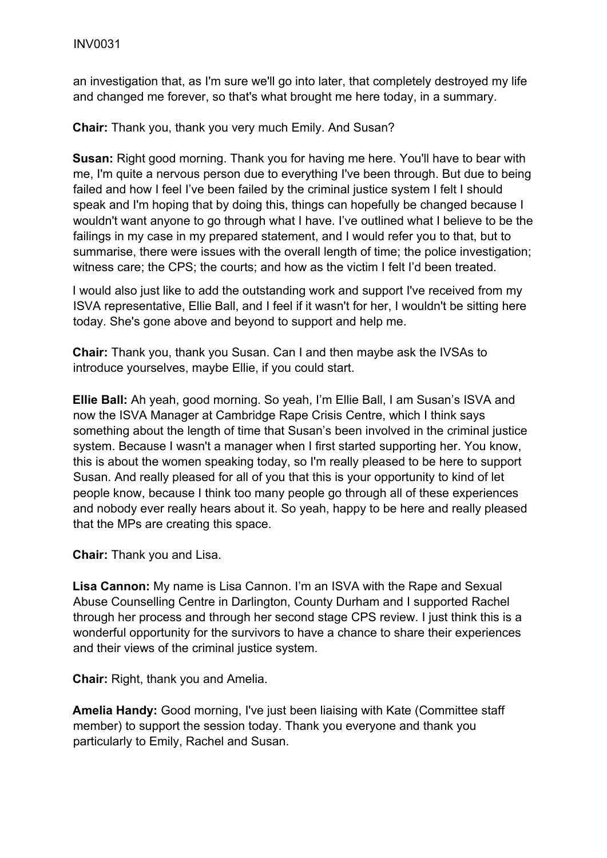an investigation that, as I'm sure we'll go into later, that completely destroyed my life and changed me forever, so that's what brought me here today, in a summary.

**Chair:** Thank you, thank you very much Emily. And Susan?

**Susan:** Right good morning. Thank you for having me here. You'll have to bear with me, I'm quite a nervous person due to everything I've been through. But due to being failed and how I feel I've been failed by the criminal justice system I felt I should speak and I'm hoping that by doing this, things can hopefully be changed because I wouldn't want anyone to go through what I have. I've outlined what I believe to be the failings in my case in my prepared statement, and I would refer you to that, but to summarise, there were issues with the overall length of time; the police investigation; witness care; the CPS; the courts; and how as the victim I felt I'd been treated.

I would also just like to add the outstanding work and support I've received from my ISVA representative, Ellie Ball, and I feel if it wasn't for her, I wouldn't be sitting here today. She's gone above and beyond to support and help me.

**Chair:** Thank you, thank you Susan. Can I and then maybe ask the IVSAs to introduce yourselves, maybe Ellie, if you could start.

**Ellie Ball:** Ah yeah, good morning. So yeah, I'm Ellie Ball, I am Susan's ISVA and now the ISVA Manager at Cambridge Rape Crisis Centre, which I think says something about the length of time that Susan's been involved in the criminal justice system. Because I wasn't a manager when I first started supporting her. You know, this is about the women speaking today, so I'm really pleased to be here to support Susan. And really pleased for all of you that this is your opportunity to kind of let people know, because I think too many people go through all of these experiences and nobody ever really hears about it. So yeah, happy to be here and really pleased that the MPs are creating this space.

**Chair:** Thank you and Lisa.

**Lisa Cannon:** My name is Lisa Cannon. I'm an ISVA with the Rape and Sexual Abuse Counselling Centre in Darlington, County Durham and I supported Rachel through her process and through her second stage CPS review. I just think this is a wonderful opportunity for the survivors to have a chance to share their experiences and their views of the criminal justice system.

**Chair:** Right, thank you and Amelia.

**Amelia Handy:** Good morning, I've just been liaising with Kate (Committee staff member) to support the session today. Thank you everyone and thank you particularly to Emily, Rachel and Susan.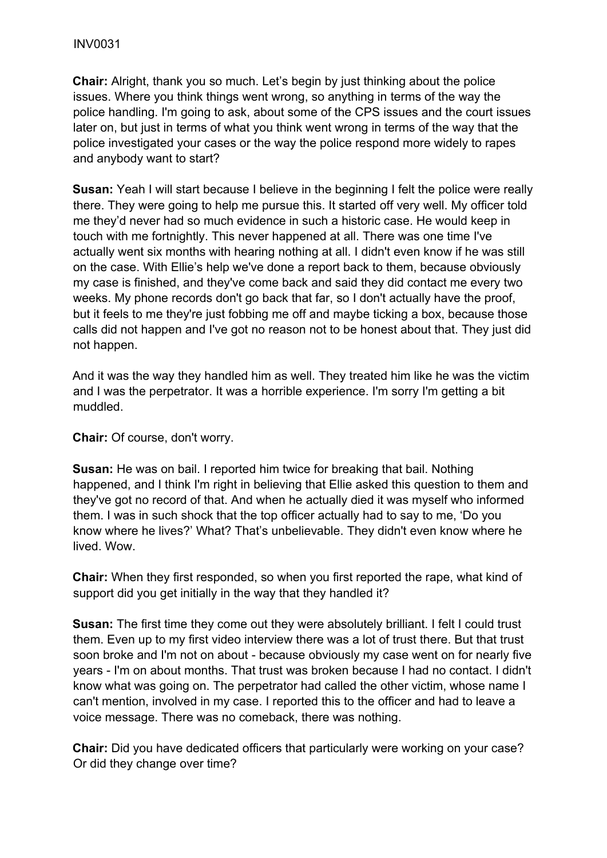**Chair:** Alright, thank you so much. Let's begin by just thinking about the police issues. Where you think things went wrong, so anything in terms of the way the police handling. I'm going to ask, about some of the CPS issues and the court issues later on, but just in terms of what you think went wrong in terms of the way that the police investigated your cases or the way the police respond more widely to rapes and anybody want to start?

**Susan:** Yeah I will start because I believe in the beginning I felt the police were really there. They were going to help me pursue this. It started off very well. My officer told me they'd never had so much evidence in such a historic case. He would keep in touch with me fortnightly. This never happened at all. There was one time I've actually went six months with hearing nothing at all. I didn't even know if he was still on the case. With Ellie's help we've done a report back to them, because obviously my case is finished, and they've come back and said they did contact me every two weeks. My phone records don't go back that far, so I don't actually have the proof, but it feels to me they're just fobbing me off and maybe ticking a box, because those calls did not happen and I've got no reason not to be honest about that. They just did not happen.

And it was the way they handled him as well. They treated him like he was the victim and I was the perpetrator. It was a horrible experience. I'm sorry I'm getting a bit muddled.

**Chair:** Of course, don't worry.

**Susan:** He was on bail. I reported him twice for breaking that bail. Nothing happened, and I think I'm right in believing that Ellie asked this question to them and they've got no record of that. And when he actually died it was myself who informed them. I was in such shock that the top officer actually had to say to me, 'Do you know where he lives?' What? That's unbelievable. They didn't even know where he lived. Wow.

**Chair:** When they first responded, so when you first reported the rape, what kind of support did you get initially in the way that they handled it?

**Susan:** The first time they come out they were absolutely brilliant. I felt I could trust them. Even up to my first video interview there was a lot of trust there. But that trust soon broke and I'm not on about - because obviously my case went on for nearly five years - I'm on about months. That trust was broken because I had no contact. I didn't know what was going on. The perpetrator had called the other victim, whose name I can't mention, involved in my case. I reported this to the officer and had to leave a voice message. There was no comeback, there was nothing.

**Chair:** Did you have dedicated officers that particularly were working on your case? Or did they change over time?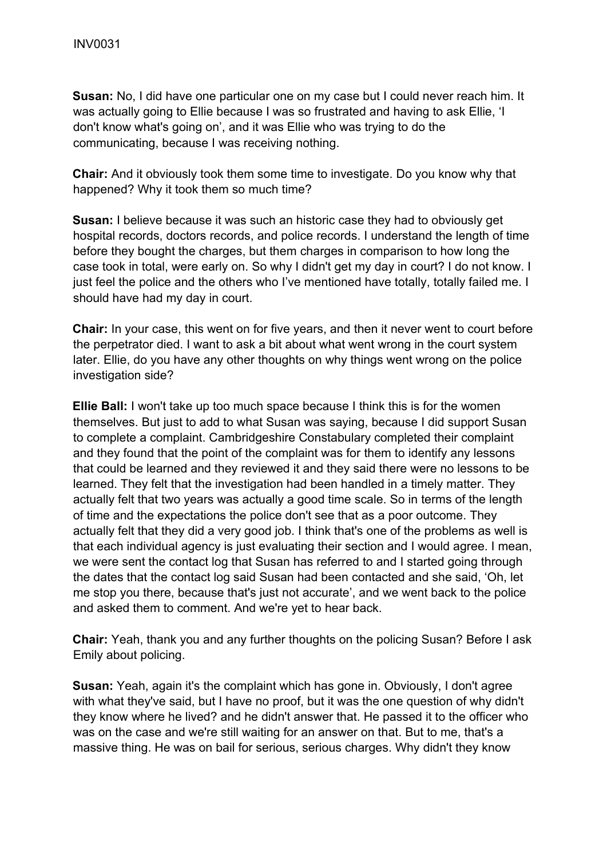**Susan:** No, I did have one particular one on my case but I could never reach him. It was actually going to Ellie because I was so frustrated and having to ask Ellie, 'I don't know what's going on', and it was Ellie who was trying to do the communicating, because I was receiving nothing.

**Chair:** And it obviously took them some time to investigate. Do you know why that happened? Why it took them so much time?

**Susan:** I believe because it was such an historic case they had to obviously get hospital records, doctors records, and police records. I understand the length of time before they bought the charges, but them charges in comparison to how long the case took in total, were early on. So why I didn't get my day in court? I do not know. I just feel the police and the others who I've mentioned have totally, totally failed me. I should have had my day in court.

**Chair:** In your case, this went on for five years, and then it never went to court before the perpetrator died. I want to ask a bit about what went wrong in the court system later. Ellie, do you have any other thoughts on why things went wrong on the police investigation side?

**Ellie Ball:** I won't take up too much space because I think this is for the women themselves. But just to add to what Susan was saying, because I did support Susan to complete a complaint. Cambridgeshire Constabulary completed their complaint and they found that the point of the complaint was for them to identify any lessons that could be learned and they reviewed it and they said there were no lessons to be learned. They felt that the investigation had been handled in a timely matter. They actually felt that two years was actually a good time scale. So in terms of the length of time and the expectations the police don't see that as a poor outcome. They actually felt that they did a very good job. I think that's one of the problems as well is that each individual agency is just evaluating their section and I would agree. I mean, we were sent the contact log that Susan has referred to and I started going through the dates that the contact log said Susan had been contacted and she said, 'Oh, let me stop you there, because that's just not accurate', and we went back to the police and asked them to comment. And we're yet to hear back.

**Chair:** Yeah, thank you and any further thoughts on the policing Susan? Before I ask Emily about policing.

**Susan:** Yeah, again it's the complaint which has gone in. Obviously, I don't agree with what they've said, but I have no proof, but it was the one question of why didn't they know where he lived? and he didn't answer that. He passed it to the officer who was on the case and we're still waiting for an answer on that. But to me, that's a massive thing. He was on bail for serious, serious charges. Why didn't they know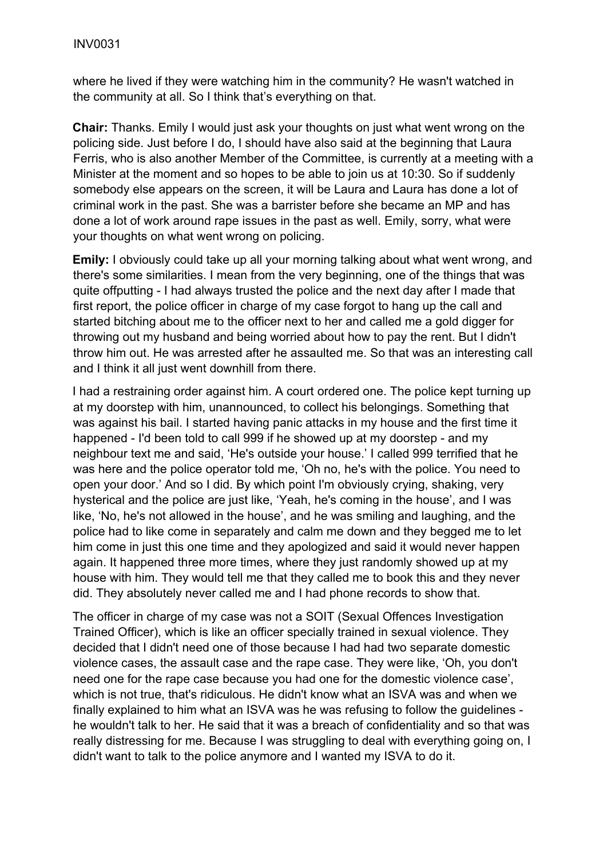where he lived if they were watching him in the community? He wasn't watched in the community at all. So I think that's everything on that.

**Chair:** Thanks. Emily I would just ask your thoughts on just what went wrong on the policing side. Just before I do, I should have also said at the beginning that Laura Ferris, who is also another Member of the Committee, is currently at a meeting with a Minister at the moment and so hopes to be able to join us at 10:30. So if suddenly somebody else appears on the screen, it will be Laura and Laura has done a lot of criminal work in the past. She was a barrister before she became an MP and has done a lot of work around rape issues in the past as well. Emily, sorry, what were your thoughts on what went wrong on policing.

**Emily:** I obviously could take up all your morning talking about what went wrong, and there's some similarities. I mean from the very beginning, one of the things that was quite offputting - I had always trusted the police and the next day after I made that first report, the police officer in charge of my case forgot to hang up the call and started bitching about me to the officer next to her and called me a gold digger for throwing out my husband and being worried about how to pay the rent. But I didn't throw him out. He was arrested after he assaulted me. So that was an interesting call and I think it all just went downhill from there.

I had a restraining order against him. A court ordered one. The police kept turning up at my doorstep with him, unannounced, to collect his belongings. Something that was against his bail. I started having panic attacks in my house and the first time it happened - I'd been told to call 999 if he showed up at my doorstep - and my neighbour text me and said, 'He's outside your house.' I called 999 terrified that he was here and the police operator told me, 'Oh no, he's with the police. You need to open your door.' And so I did. By which point I'm obviously crying, shaking, very hysterical and the police are just like, 'Yeah, he's coming in the house', and I was like, 'No, he's not allowed in the house', and he was smiling and laughing, and the police had to like come in separately and calm me down and they begged me to let him come in just this one time and they apologized and said it would never happen again. It happened three more times, where they just randomly showed up at my house with him. They would tell me that they called me to book this and they never did. They absolutely never called me and I had phone records to show that.

The officer in charge of my case was not a SOIT (Sexual Offences Investigation Trained Officer), which is like an officer specially trained in sexual violence. They decided that I didn't need one of those because I had had two separate domestic violence cases, the assault case and the rape case. They were like, 'Oh, you don't need one for the rape case because you had one for the domestic violence case', which is not true, that's ridiculous. He didn't know what an ISVA was and when we finally explained to him what an ISVA was he was refusing to follow the guidelines he wouldn't talk to her. He said that it was a breach of confidentiality and so that was really distressing for me. Because I was struggling to deal with everything going on, I didn't want to talk to the police anymore and I wanted my ISVA to do it.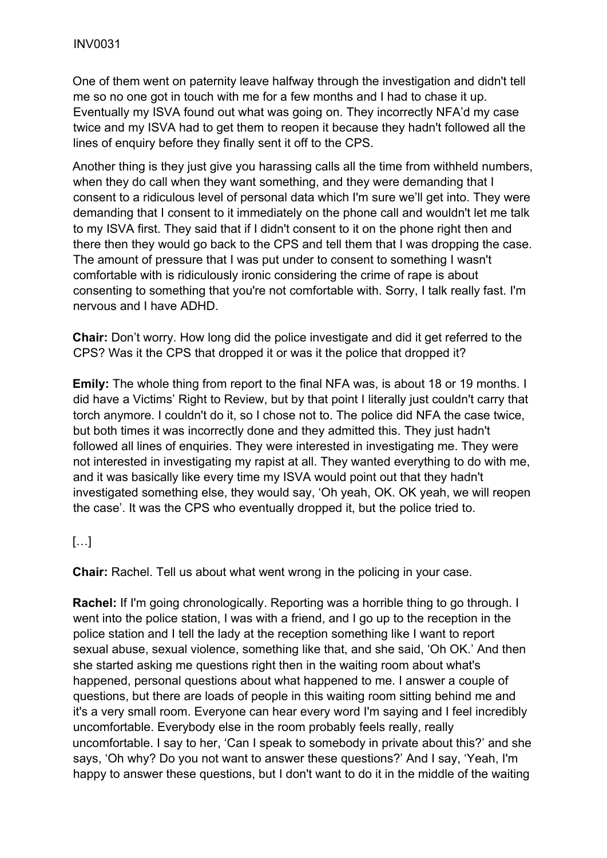One of them went on paternity leave halfway through the investigation and didn't tell me so no one got in touch with me for a few months and I had to chase it up. Eventually my ISVA found out what was going on. They incorrectly NFA'd my case twice and my ISVA had to get them to reopen it because they hadn't followed all the lines of enquiry before they finally sent it off to the CPS.

Another thing is they just give you harassing calls all the time from withheld numbers. when they do call when they want something, and they were demanding that I consent to a ridiculous level of personal data which I'm sure we'll get into. They were demanding that I consent to it immediately on the phone call and wouldn't let me talk to my ISVA first. They said that if I didn't consent to it on the phone right then and there then they would go back to the CPS and tell them that I was dropping the case. The amount of pressure that I was put under to consent to something I wasn't comfortable with is ridiculously ironic considering the crime of rape is about consenting to something that you're not comfortable with. Sorry, I talk really fast. I'm nervous and I have ADHD.

**Chair:** Don't worry. How long did the police investigate and did it get referred to the CPS? Was it the CPS that dropped it or was it the police that dropped it?

**Emily:** The whole thing from report to the final NFA was, is about 18 or 19 months. I did have a Victims' Right to Review, but by that point I literally just couldn't carry that torch anymore. I couldn't do it, so I chose not to. The police did NFA the case twice, but both times it was incorrectly done and they admitted this. They just hadn't followed all lines of enquiries. They were interested in investigating me. They were not interested in investigating my rapist at all. They wanted everything to do with me, and it was basically like every time my ISVA would point out that they hadn't investigated something else, they would say, 'Oh yeah, OK. OK yeah, we will reopen the case'. It was the CPS who eventually dropped it, but the police tried to.

# […]

**Chair:** Rachel. Tell us about what went wrong in the policing in your case.

**Rachel:** If I'm going chronologically. Reporting was a horrible thing to go through. I went into the police station, I was with a friend, and I go up to the reception in the police station and I tell the lady at the reception something like I want to report sexual abuse, sexual violence, something like that, and she said, 'Oh OK.' And then she started asking me questions right then in the waiting room about what's happened, personal questions about what happened to me. I answer a couple of questions, but there are loads of people in this waiting room sitting behind me and it's a very small room. Everyone can hear every word I'm saying and I feel incredibly uncomfortable. Everybody else in the room probably feels really, really uncomfortable. I say to her, 'Can I speak to somebody in private about this?' and she says, 'Oh why? Do you not want to answer these questions?' And I say, 'Yeah, I'm happy to answer these questions, but I don't want to do it in the middle of the waiting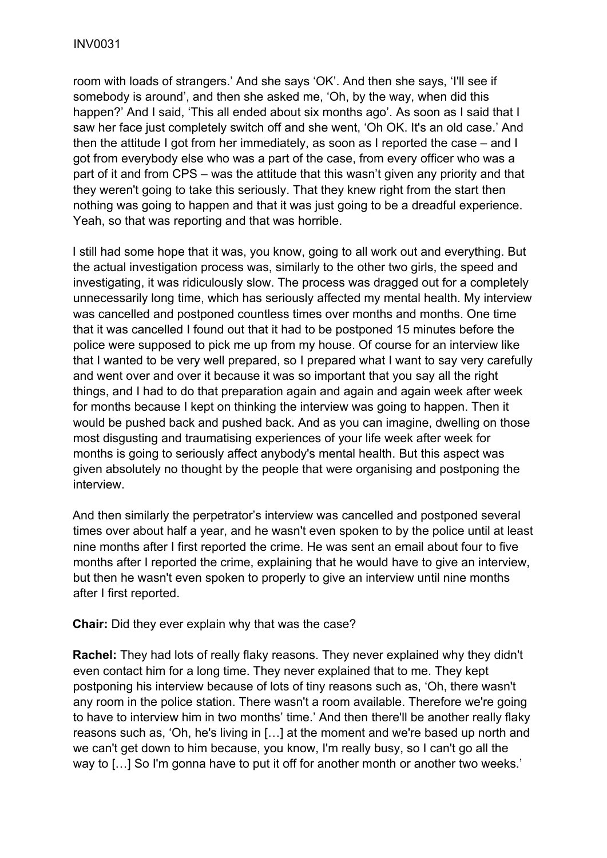room with loads of strangers.' And she says 'OK'. And then she says, 'I'll see if somebody is around', and then she asked me, 'Oh, by the way, when did this happen?' And I said, 'This all ended about six months ago'. As soon as I said that I saw her face just completely switch off and she went, 'Oh OK. It's an old case.' And then the attitude I got from her immediately, as soon as I reported the case – and I got from everybody else who was a part of the case, from every officer who was a part of it and from CPS – was the attitude that this wasn't given any priority and that they weren't going to take this seriously. That they knew right from the start then nothing was going to happen and that it was just going to be a dreadful experience. Yeah, so that was reporting and that was horrible.

I still had some hope that it was, you know, going to all work out and everything. But the actual investigation process was, similarly to the other two girls, the speed and investigating, it was ridiculously slow. The process was dragged out for a completely unnecessarily long time, which has seriously affected my mental health. My interview was cancelled and postponed countless times over months and months. One time that it was cancelled I found out that it had to be postponed 15 minutes before the police were supposed to pick me up from my house. Of course for an interview like that I wanted to be very well prepared, so I prepared what I want to say very carefully and went over and over it because it was so important that you say all the right things, and I had to do that preparation again and again and again week after week for months because I kept on thinking the interview was going to happen. Then it would be pushed back and pushed back. And as you can imagine, dwelling on those most disgusting and traumatising experiences of your life week after week for months is going to seriously affect anybody's mental health. But this aspect was given absolutely no thought by the people that were organising and postponing the interview.

And then similarly the perpetrator's interview was cancelled and postponed several times over about half a year, and he wasn't even spoken to by the police until at least nine months after I first reported the crime. He was sent an email about four to five months after I reported the crime, explaining that he would have to give an interview, but then he wasn't even spoken to properly to give an interview until nine months after I first reported.

**Chair:** Did they ever explain why that was the case?

**Rachel:** They had lots of really flaky reasons. They never explained why they didn't even contact him for a long time. They never explained that to me. They kept postponing his interview because of lots of tiny reasons such as, 'Oh, there wasn't any room in the police station. There wasn't a room available. Therefore we're going to have to interview him in two months' time.' And then there'll be another really flaky reasons such as, 'Oh, he's living in […] at the moment and we're based up north and we can't get down to him because, you know, I'm really busy, so I can't go all the way to [...] So I'm gonna have to put it off for another month or another two weeks.'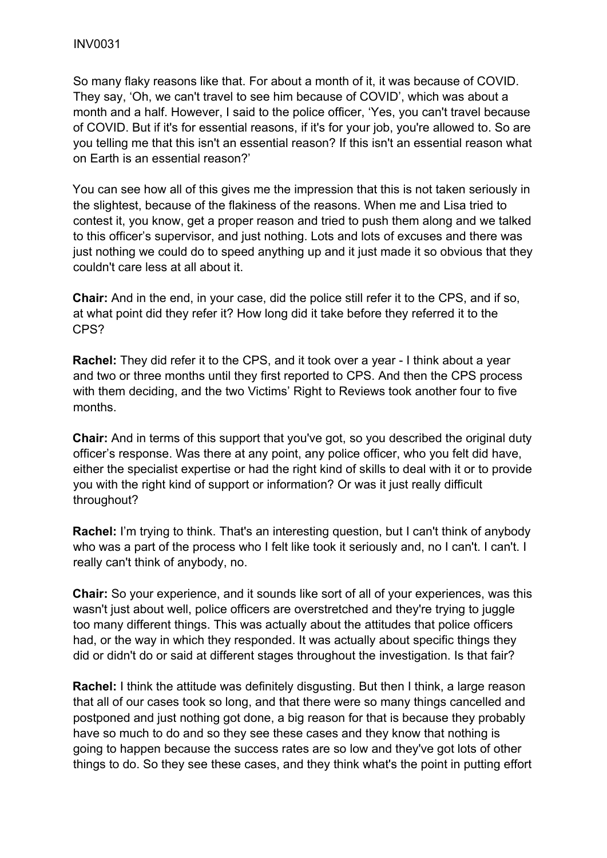So many flaky reasons like that. For about a month of it, it was because of COVID. They say, 'Oh, we can't travel to see him because of COVID', which was about a month and a half. However, I said to the police officer, 'Yes, you can't travel because of COVID. But if it's for essential reasons, if it's for your job, you're allowed to. So are you telling me that this isn't an essential reason? If this isn't an essential reason what on Earth is an essential reason?'

You can see how all of this gives me the impression that this is not taken seriously in the slightest, because of the flakiness of the reasons. When me and Lisa tried to contest it, you know, get a proper reason and tried to push them along and we talked to this officer's supervisor, and just nothing. Lots and lots of excuses and there was just nothing we could do to speed anything up and it just made it so obvious that they couldn't care less at all about it.

**Chair:** And in the end, in your case, did the police still refer it to the CPS, and if so, at what point did they refer it? How long did it take before they referred it to the CPS?

**Rachel:** They did refer it to the CPS, and it took over a year - I think about a year and two or three months until they first reported to CPS. And then the CPS process with them deciding, and the two Victims' Right to Reviews took another four to five months.

**Chair:** And in terms of this support that you've got, so you described the original duty officer's response. Was there at any point, any police officer, who you felt did have, either the specialist expertise or had the right kind of skills to deal with it or to provide you with the right kind of support or information? Or was it just really difficult throughout?

**Rachel:** I'm trying to think. That's an interesting question, but I can't think of anybody who was a part of the process who I felt like took it seriously and, no I can't. I can't. I really can't think of anybody, no.

**Chair:** So your experience, and it sounds like sort of all of your experiences, was this wasn't just about well, police officers are overstretched and they're trying to juggle too many different things. This was actually about the attitudes that police officers had, or the way in which they responded. It was actually about specific things they did or didn't do or said at different stages throughout the investigation. Is that fair?

**Rachel:** I think the attitude was definitely disgusting. But then I think, a large reason that all of our cases took so long, and that there were so many things cancelled and postponed and just nothing got done, a big reason for that is because they probably have so much to do and so they see these cases and they know that nothing is going to happen because the success rates are so low and they've got lots of other things to do. So they see these cases, and they think what's the point in putting effort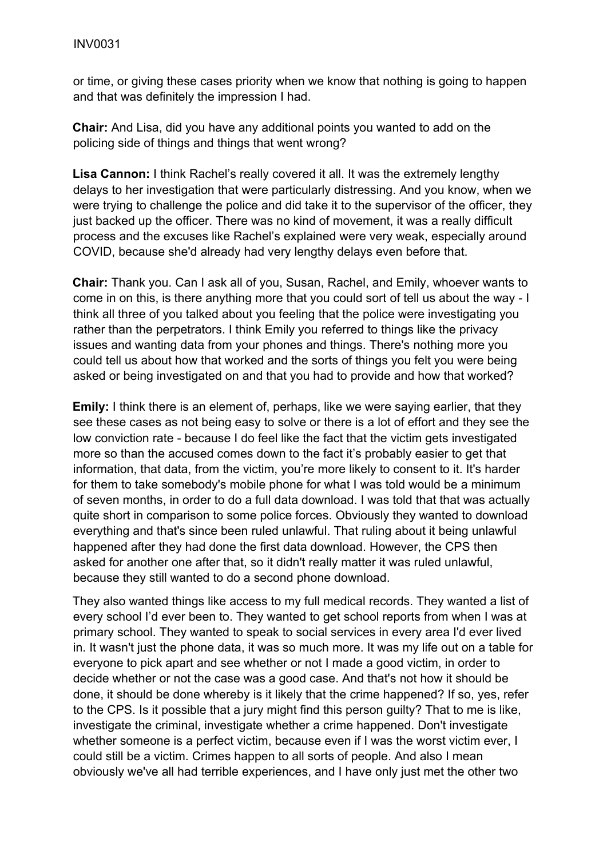or time, or giving these cases priority when we know that nothing is going to happen and that was definitely the impression I had.

**Chair:** And Lisa, did you have any additional points you wanted to add on the policing side of things and things that went wrong?

**Lisa Cannon:** I think Rachel's really covered it all. It was the extremely lengthy delays to her investigation that were particularly distressing. And you know, when we were trying to challenge the police and did take it to the supervisor of the officer, they just backed up the officer. There was no kind of movement, it was a really difficult process and the excuses like Rachel's explained were very weak, especially around COVID, because she'd already had very lengthy delays even before that.

**Chair:** Thank you. Can I ask all of you, Susan, Rachel, and Emily, whoever wants to come in on this, is there anything more that you could sort of tell us about the way - I think all three of you talked about you feeling that the police were investigating you rather than the perpetrators. I think Emily you referred to things like the privacy issues and wanting data from your phones and things. There's nothing more you could tell us about how that worked and the sorts of things you felt you were being asked or being investigated on and that you had to provide and how that worked?

**Emily:** I think there is an element of, perhaps, like we were saying earlier, that they see these cases as not being easy to solve or there is a lot of effort and they see the low conviction rate - because I do feel like the fact that the victim gets investigated more so than the accused comes down to the fact it's probably easier to get that information, that data, from the victim, you're more likely to consent to it. It's harder for them to take somebody's mobile phone for what I was told would be a minimum of seven months, in order to do a full data download. I was told that that was actually quite short in comparison to some police forces. Obviously they wanted to download everything and that's since been ruled unlawful. That ruling about it being unlawful happened after they had done the first data download. However, the CPS then asked for another one after that, so it didn't really matter it was ruled unlawful, because they still wanted to do a second phone download.

They also wanted things like access to my full medical records. They wanted a list of every school I'd ever been to. They wanted to get school reports from when I was at primary school. They wanted to speak to social services in every area I'd ever lived in. It wasn't just the phone data, it was so much more. It was my life out on a table for everyone to pick apart and see whether or not I made a good victim, in order to decide whether or not the case was a good case. And that's not how it should be done, it should be done whereby is it likely that the crime happened? If so, yes, refer to the CPS. Is it possible that a jury might find this person guilty? That to me is like, investigate the criminal, investigate whether a crime happened. Don't investigate whether someone is a perfect victim, because even if I was the worst victim ever, I could still be a victim. Crimes happen to all sorts of people. And also I mean obviously we've all had terrible experiences, and I have only just met the other two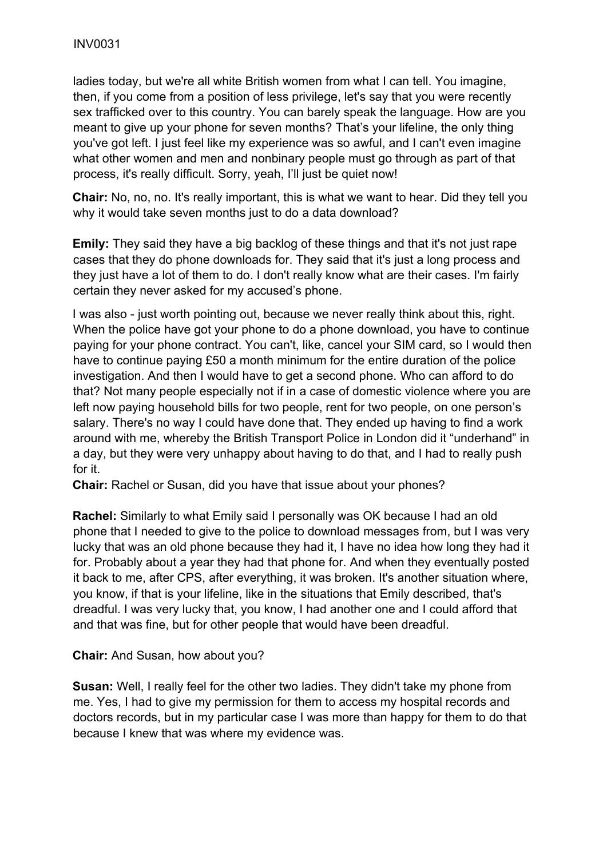ladies today, but we're all white British women from what I can tell. You imagine, then, if you come from a position of less privilege, let's say that you were recently sex trafficked over to this country. You can barely speak the language. How are you meant to give up your phone for seven months? That's your lifeline, the only thing you've got left. I just feel like my experience was so awful, and I can't even imagine what other women and men and nonbinary people must go through as part of that process, it's really difficult. Sorry, yeah, I'll just be quiet now!

**Chair:** No, no, no. It's really important, this is what we want to hear. Did they tell you why it would take seven months just to do a data download?

**Emily:** They said they have a big backlog of these things and that it's not just rape cases that they do phone downloads for. They said that it's just a long process and they just have a lot of them to do. I don't really know what are their cases. I'm fairly certain they never asked for my accused's phone.

I was also - just worth pointing out, because we never really think about this, right. When the police have got your phone to do a phone download, you have to continue paying for your phone contract. You can't, like, cancel your SIM card, so I would then have to continue paying £50 a month minimum for the entire duration of the police investigation. And then I would have to get a second phone. Who can afford to do that? Not many people especially not if in a case of domestic violence where you are left now paying household bills for two people, rent for two people, on one person's salary. There's no way I could have done that. They ended up having to find a work around with me, whereby the British Transport Police in London did it "underhand" in a day, but they were very unhappy about having to do that, and I had to really push for it.

**Chair:** Rachel or Susan, did you have that issue about your phones?

**Rachel:** Similarly to what Emily said I personally was OK because I had an old phone that I needed to give to the police to download messages from, but I was very lucky that was an old phone because they had it, I have no idea how long they had it for. Probably about a year they had that phone for. And when they eventually posted it back to me, after CPS, after everything, it was broken. It's another situation where, you know, if that is your lifeline, like in the situations that Emily described, that's dreadful. I was very lucky that, you know, I had another one and I could afford that and that was fine, but for other people that would have been dreadful.

**Chair:** And Susan, how about you?

**Susan:** Well, I really feel for the other two ladies. They didn't take my phone from me. Yes, I had to give my permission for them to access my hospital records and doctors records, but in my particular case I was more than happy for them to do that because I knew that was where my evidence was.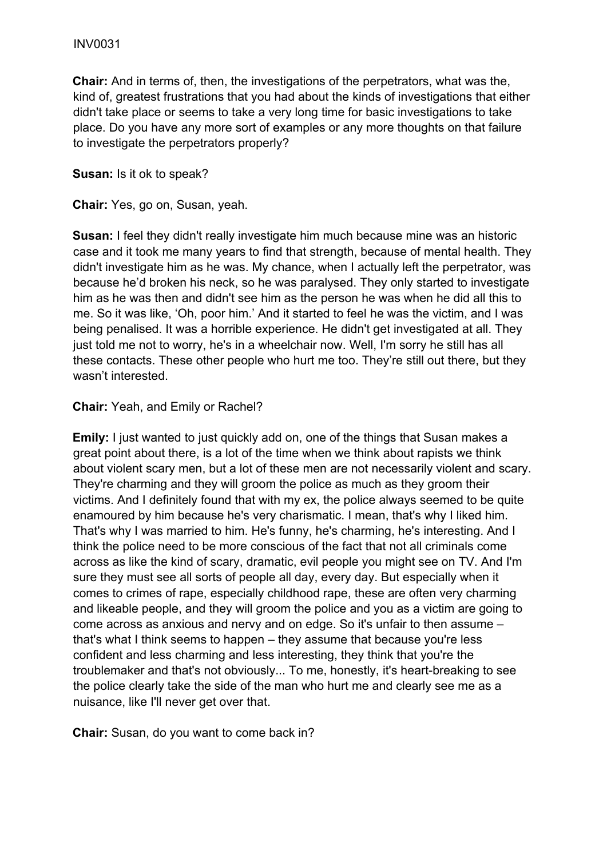**Chair:** And in terms of, then, the investigations of the perpetrators, what was the, kind of, greatest frustrations that you had about the kinds of investigations that either didn't take place or seems to take a very long time for basic investigations to take place. Do you have any more sort of examples or any more thoughts on that failure to investigate the perpetrators properly?

#### **Susan:** Is it ok to speak?

**Chair:** Yes, go on, Susan, yeah.

**Susan:** I feel they didn't really investigate him much because mine was an historic case and it took me many years to find that strength, because of mental health. They didn't investigate him as he was. My chance, when I actually left the perpetrator, was because he'd broken his neck, so he was paralysed. They only started to investigate him as he was then and didn't see him as the person he was when he did all this to me. So it was like, 'Oh, poor him.' And it started to feel he was the victim, and I was being penalised. It was a horrible experience. He didn't get investigated at all. They just told me not to worry, he's in a wheelchair now. Well, I'm sorry he still has all these contacts. These other people who hurt me too. They're still out there, but they wasn't interested.

## **Chair:** Yeah, and Emily or Rachel?

**Emily:** I just wanted to just quickly add on, one of the things that Susan makes a great point about there, is a lot of the time when we think about rapists we think about violent scary men, but a lot of these men are not necessarily violent and scary. They're charming and they will groom the police as much as they groom their victims. And I definitely found that with my ex, the police always seemed to be quite enamoured by him because he's very charismatic. I mean, that's why I liked him. That's why I was married to him. He's funny, he's charming, he's interesting. And I think the police need to be more conscious of the fact that not all criminals come across as like the kind of scary, dramatic, evil people you might see on TV. And I'm sure they must see all sorts of people all day, every day. But especially when it comes to crimes of rape, especially childhood rape, these are often very charming and likeable people, and they will groom the police and you as a victim are going to come across as anxious and nervy and on edge. So it's unfair to then assume – that's what I think seems to happen – they assume that because you're less confident and less charming and less interesting, they think that you're the troublemaker and that's not obviously... To me, honestly, it's heart-breaking to see the police clearly take the side of the man who hurt me and clearly see me as a nuisance, like I'll never get over that.

**Chair:** Susan, do you want to come back in?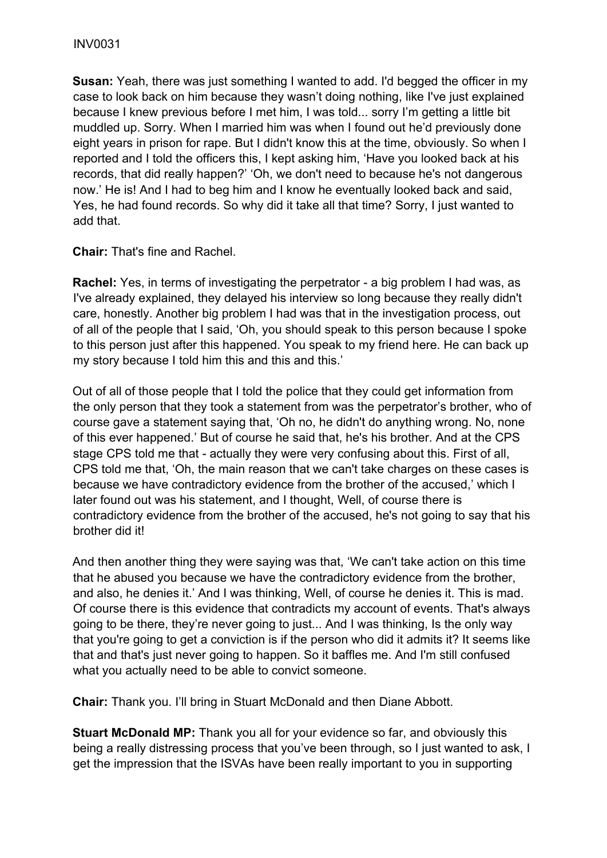**Susan:** Yeah, there was just something I wanted to add. I'd begged the officer in my case to look back on him because they wasn't doing nothing, like I've just explained because I knew previous before I met him, I was told... sorry I'm getting a little bit muddled up. Sorry. When I married him was when I found out he'd previously done eight years in prison for rape. But I didn't know this at the time, obviously. So when I reported and I told the officers this, I kept asking him, 'Have you looked back at his records, that did really happen?' 'Oh, we don't need to because he's not dangerous now.' He is! And I had to beg him and I know he eventually looked back and said, Yes, he had found records. So why did it take all that time? Sorry, I just wanted to add that.

**Chair:** That's fine and Rachel.

**Rachel:** Yes, in terms of investigating the perpetrator - a big problem I had was, as I've already explained, they delayed his interview so long because they really didn't care, honestly. Another big problem I had was that in the investigation process, out of all of the people that I said, 'Oh, you should speak to this person because I spoke to this person just after this happened. You speak to my friend here. He can back up my story because I told him this and this and this.'

Out of all of those people that I told the police that they could get information from the only person that they took a statement from was the perpetrator's brother, who of course gave a statement saying that, 'Oh no, he didn't do anything wrong. No, none of this ever happened.' But of course he said that, he's his brother. And at the CPS stage CPS told me that - actually they were very confusing about this. First of all, CPS told me that, 'Oh, the main reason that we can't take charges on these cases is because we have contradictory evidence from the brother of the accused,' which I later found out was his statement, and I thought, Well, of course there is contradictory evidence from the brother of the accused, he's not going to say that his brother did it!

And then another thing they were saying was that, 'We can't take action on this time that he abused you because we have the contradictory evidence from the brother, and also, he denies it.' And I was thinking, Well, of course he denies it. This is mad. Of course there is this evidence that contradicts my account of events. That's always going to be there, they're never going to just... And I was thinking, Is the only way that you're going to get a conviction is if the person who did it admits it? It seems like that and that's just never going to happen. So it baffles me. And I'm still confused what you actually need to be able to convict someone.

**Chair:** Thank you. I'll bring in Stuart McDonald and then Diane Abbott.

**Stuart McDonald MP:** Thank you all for your evidence so far, and obviously this being a really distressing process that you've been through, so I just wanted to ask, I get the impression that the ISVAs have been really important to you in supporting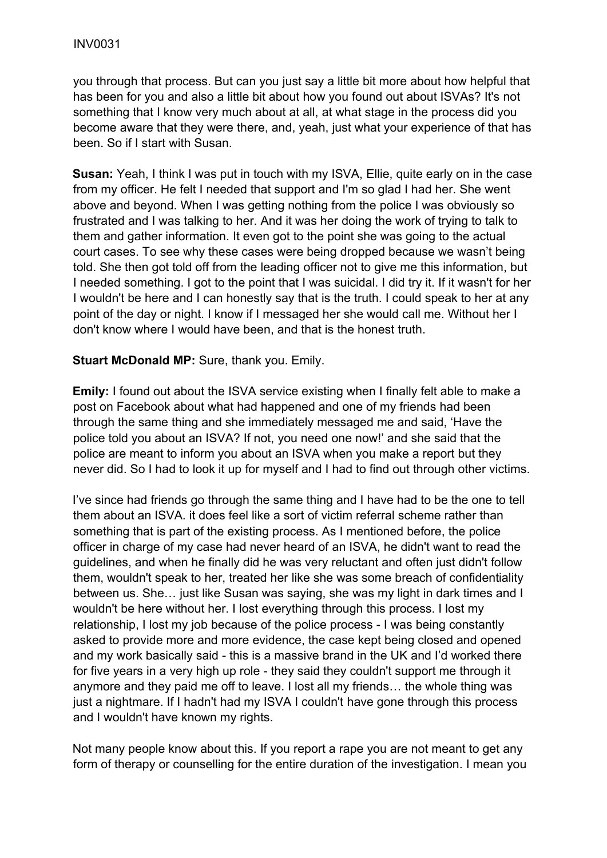you through that process. But can you just say a little bit more about how helpful that has been for you and also a little bit about how you found out about ISVAs? It's not something that I know very much about at all, at what stage in the process did you become aware that they were there, and, yeah, just what your experience of that has been. So if I start with Susan.

**Susan:** Yeah, I think I was put in touch with my ISVA, Ellie, quite early on in the case from my officer. He felt I needed that support and I'm so glad I had her. She went above and beyond. When I was getting nothing from the police I was obviously so frustrated and I was talking to her. And it was her doing the work of trying to talk to them and gather information. It even got to the point she was going to the actual court cases. To see why these cases were being dropped because we wasn't being told. She then got told off from the leading officer not to give me this information, but I needed something. I got to the point that I was suicidal. I did try it. If it wasn't for her I wouldn't be here and I can honestly say that is the truth. I could speak to her at any point of the day or night. I know if I messaged her she would call me. Without her I don't know where I would have been, and that is the honest truth.

#### **Stuart McDonald MP:** Sure, thank you. Emily.

**Emily:** I found out about the ISVA service existing when I finally felt able to make a post on Facebook about what had happened and one of my friends had been through the same thing and she immediately messaged me and said, 'Have the police told you about an ISVA? If not, you need one now!' and she said that the police are meant to inform you about an ISVA when you make a report but they never did. So I had to look it up for myself and I had to find out through other victims.

I've since had friends go through the same thing and I have had to be the one to tell them about an ISVA. it does feel like a sort of victim referral scheme rather than something that is part of the existing process. As I mentioned before, the police officer in charge of my case had never heard of an ISVA, he didn't want to read the guidelines, and when he finally did he was very reluctant and often just didn't follow them, wouldn't speak to her, treated her like she was some breach of confidentiality between us. She… just like Susan was saying, she was my light in dark times and I wouldn't be here without her. I lost everything through this process. I lost my relationship, I lost my job because of the police process - I was being constantly asked to provide more and more evidence, the case kept being closed and opened and my work basically said - this is a massive brand in the UK and I'd worked there for five years in a very high up role - they said they couldn't support me through it anymore and they paid me off to leave. I lost all my friends… the whole thing was just a nightmare. If I hadn't had my ISVA I couldn't have gone through this process and I wouldn't have known my rights.

Not many people know about this. If you report a rape you are not meant to get any form of therapy or counselling for the entire duration of the investigation. I mean you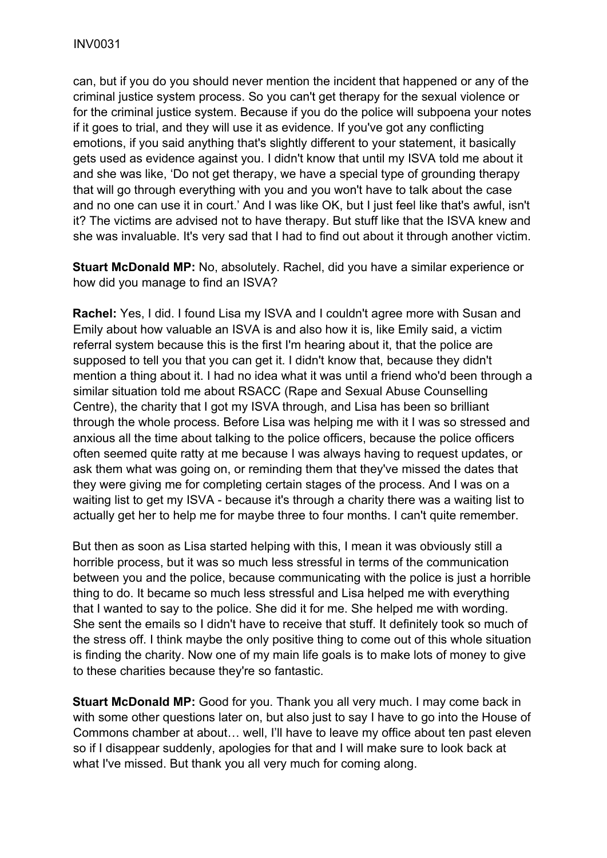can, but if you do you should never mention the incident that happened or any of the criminal justice system process. So you can't get therapy for the sexual violence or for the criminal justice system. Because if you do the police will subpoena your notes if it goes to trial, and they will use it as evidence. If you've got any conflicting emotions, if you said anything that's slightly different to your statement, it basically gets used as evidence against you. I didn't know that until my ISVA told me about it and she was like, 'Do not get therapy, we have a special type of grounding therapy that will go through everything with you and you won't have to talk about the case and no one can use it in court.' And I was like OK, but I just feel like that's awful, isn't it? The victims are advised not to have therapy. But stuff like that the ISVA knew and she was invaluable. It's very sad that I had to find out about it through another victim.

**Stuart McDonald MP:** No, absolutely. Rachel, did you have a similar experience or how did you manage to find an ISVA?

**Rachel:** Yes, I did. I found Lisa my ISVA and I couldn't agree more with Susan and Emily about how valuable an ISVA is and also how it is, like Emily said, a victim referral system because this is the first I'm hearing about it, that the police are supposed to tell you that you can get it. I didn't know that, because they didn't mention a thing about it. I had no idea what it was until a friend who'd been through a similar situation told me about RSACC (Rape and Sexual Abuse Counselling Centre), the charity that I got my ISVA through, and Lisa has been so brilliant through the whole process. Before Lisa was helping me with it I was so stressed and anxious all the time about talking to the police officers, because the police officers often seemed quite ratty at me because I was always having to request updates, or ask them what was going on, or reminding them that they've missed the dates that they were giving me for completing certain stages of the process. And I was on a waiting list to get my ISVA - because it's through a charity there was a waiting list to actually get her to help me for maybe three to four months. I can't quite remember.

But then as soon as Lisa started helping with this, I mean it was obviously still a horrible process, but it was so much less stressful in terms of the communication between you and the police, because communicating with the police is just a horrible thing to do. It became so much less stressful and Lisa helped me with everything that I wanted to say to the police. She did it for me. She helped me with wording. She sent the emails so I didn't have to receive that stuff. It definitely took so much of the stress off. I think maybe the only positive thing to come out of this whole situation is finding the charity. Now one of my main life goals is to make lots of money to give to these charities because they're so fantastic.

**Stuart McDonald MP:** Good for you. Thank you all very much. I may come back in with some other questions later on, but also just to say I have to go into the House of Commons chamber at about… well, I'll have to leave my office about ten past eleven so if I disappear suddenly, apologies for that and I will make sure to look back at what I've missed. But thank you all very much for coming along.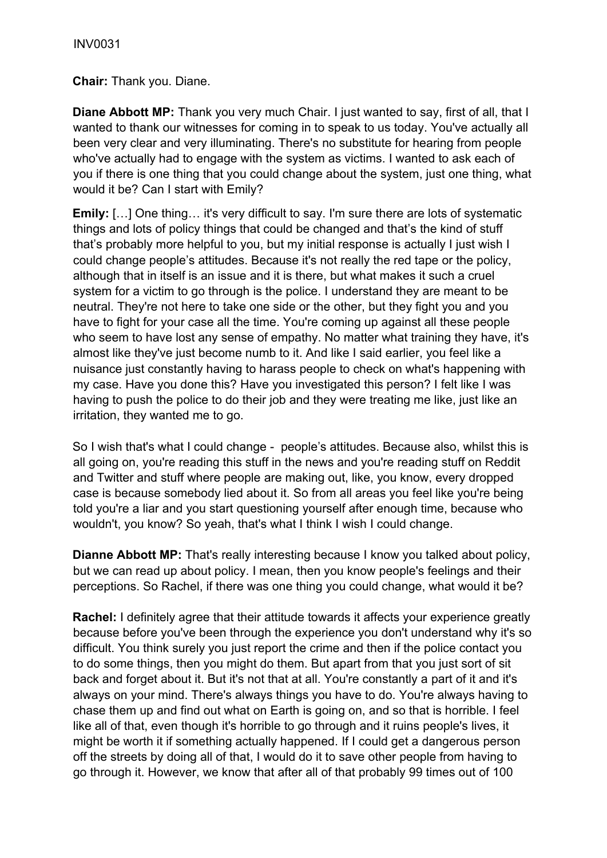**Chair:** Thank you. Diane.

**Diane Abbott MP:** Thank you very much Chair. I just wanted to say, first of all, that I wanted to thank our witnesses for coming in to speak to us today. You've actually all been very clear and very illuminating. There's no substitute for hearing from people who've actually had to engage with the system as victims. I wanted to ask each of you if there is one thing that you could change about the system, just one thing, what would it be? Can I start with Emily?

**Emily:** [...] One thing... it's very difficult to say. I'm sure there are lots of systematic things and lots of policy things that could be changed and that's the kind of stuff that's probably more helpful to you, but my initial response is actually I just wish I could change people's attitudes. Because it's not really the red tape or the policy, although that in itself is an issue and it is there, but what makes it such a cruel system for a victim to go through is the police. I understand they are meant to be neutral. They're not here to take one side or the other, but they fight you and you have to fight for your case all the time. You're coming up against all these people who seem to have lost any sense of empathy. No matter what training they have, it's almost like they've just become numb to it. And like I said earlier, you feel like a nuisance just constantly having to harass people to check on what's happening with my case. Have you done this? Have you investigated this person? I felt like I was having to push the police to do their job and they were treating me like, just like an irritation, they wanted me to go.

So I wish that's what I could change - people's attitudes. Because also, whilst this is all going on, you're reading this stuff in the news and you're reading stuff on Reddit and Twitter and stuff where people are making out, like, you know, every dropped case is because somebody lied about it. So from all areas you feel like you're being told you're a liar and you start questioning yourself after enough time, because who wouldn't, you know? So yeah, that's what I think I wish I could change.

**Dianne Abbott MP:** That's really interesting because I know you talked about policy, but we can read up about policy. I mean, then you know people's feelings and their perceptions. So Rachel, if there was one thing you could change, what would it be?

**Rachel:** I definitely agree that their attitude towards it affects your experience greatly because before you've been through the experience you don't understand why it's so difficult. You think surely you just report the crime and then if the police contact you to do some things, then you might do them. But apart from that you just sort of sit back and forget about it. But it's not that at all. You're constantly a part of it and it's always on your mind. There's always things you have to do. You're always having to chase them up and find out what on Earth is going on, and so that is horrible. I feel like all of that, even though it's horrible to go through and it ruins people's lives, it might be worth it if something actually happened. If I could get a dangerous person off the streets by doing all of that, I would do it to save other people from having to go through it. However, we know that after all of that probably 99 times out of 100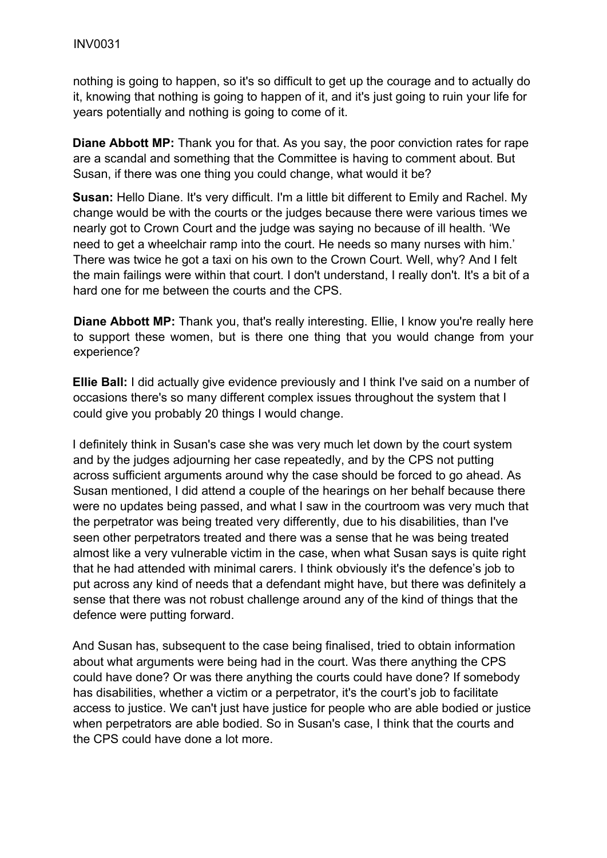nothing is going to happen, so it's so difficult to get up the courage and to actually do it, knowing that nothing is going to happen of it, and it's just going to ruin your life for years potentially and nothing is going to come of it.

**Diane Abbott MP:** Thank you for that. As you say, the poor conviction rates for rape are a scandal and something that the Committee is having to comment about. But Susan, if there was one thing you could change, what would it be?

**Susan:** Hello Diane. It's very difficult. I'm a little bit different to Emily and Rachel. My change would be with the courts or the judges because there were various times we nearly got to Crown Court and the judge was saying no because of ill health. 'We need to get a wheelchair ramp into the court. He needs so many nurses with him.' There was twice he got a taxi on his own to the Crown Court. Well, why? And I felt the main failings were within that court. I don't understand, I really don't. It's a bit of a hard one for me between the courts and the CPS.

**Diane Abbott MP:** Thank you, that's really interesting. Ellie, I know you're really here to support these women, but is there one thing that you would change from your experience?

**Ellie Ball:** I did actually give evidence previously and I think I've said on a number of occasions there's so many different complex issues throughout the system that I could give you probably 20 things I would change.

I definitely think in Susan's case she was very much let down by the court system and by the judges adjourning her case repeatedly, and by the CPS not putting across sufficient arguments around why the case should be forced to go ahead. As Susan mentioned, I did attend a couple of the hearings on her behalf because there were no updates being passed, and what I saw in the courtroom was very much that the perpetrator was being treated very differently, due to his disabilities, than I've seen other perpetrators treated and there was a sense that he was being treated almost like a very vulnerable victim in the case, when what Susan says is quite right that he had attended with minimal carers. I think obviously it's the defence's job to put across any kind of needs that a defendant might have, but there was definitely a sense that there was not robust challenge around any of the kind of things that the defence were putting forward.

And Susan has, subsequent to the case being finalised, tried to obtain information about what arguments were being had in the court. Was there anything the CPS could have done? Or was there anything the courts could have done? If somebody has disabilities, whether a victim or a perpetrator, it's the court's job to facilitate access to justice. We can't just have justice for people who are able bodied or justice when perpetrators are able bodied. So in Susan's case, I think that the courts and the CPS could have done a lot more.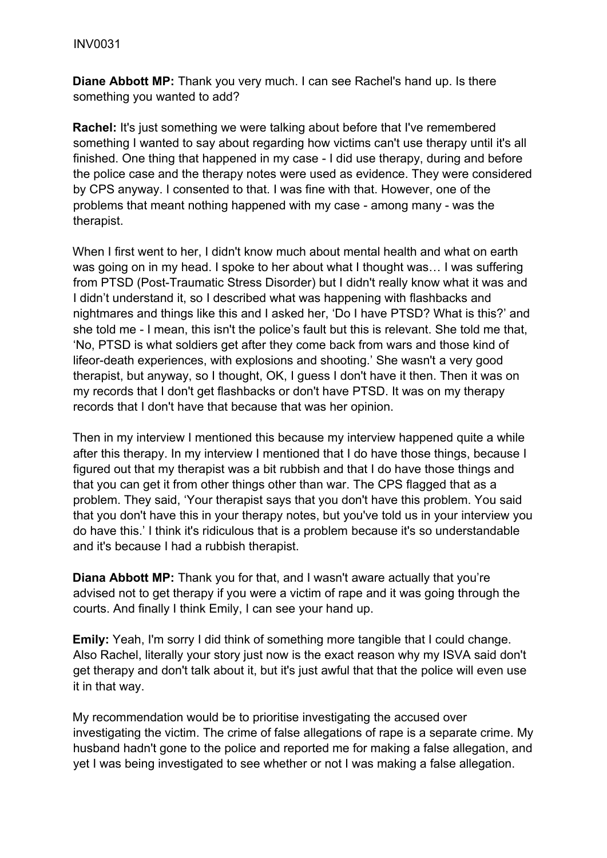**Diane Abbott MP:** Thank you very much. I can see Rachel's hand up. Is there something you wanted to add?

**Rachel:** It's just something we were talking about before that I've remembered something I wanted to say about regarding how victims can't use therapy until it's all finished. One thing that happened in my case - I did use therapy, during and before the police case and the therapy notes were used as evidence. They were considered by CPS anyway. I consented to that. I was fine with that. However, one of the problems that meant nothing happened with my case - among many - was the therapist.

When I first went to her, I didn't know much about mental health and what on earth was going on in my head. I spoke to her about what I thought was… I was suffering from PTSD (Post-Traumatic Stress Disorder) but I didn't really know what it was and I didn't understand it, so I described what was happening with flashbacks and nightmares and things like this and I asked her, 'Do I have PTSD? What is this?' and she told me - I mean, this isn't the police's fault but this is relevant. She told me that, 'No, PTSD is what soldiers get after they come back from wars and those kind of lifeor-death experiences, with explosions and shooting.' She wasn't a very good therapist, but anyway, so I thought, OK, I guess I don't have it then. Then it was on my records that I don't get flashbacks or don't have PTSD. It was on my therapy records that I don't have that because that was her opinion.

Then in my interview I mentioned this because my interview happened quite a while after this therapy. In my interview I mentioned that I do have those things, because I figured out that my therapist was a bit rubbish and that I do have those things and that you can get it from other things other than war. The CPS flagged that as a problem. They said, 'Your therapist says that you don't have this problem. You said that you don't have this in your therapy notes, but you've told us in your interview you do have this.' I think it's ridiculous that is a problem because it's so understandable and it's because I had a rubbish therapist.

**Diana Abbott MP:** Thank you for that, and I wasn't aware actually that you're advised not to get therapy if you were a victim of rape and it was going through the courts. And finally I think Emily, I can see your hand up.

**Emily:** Yeah, I'm sorry I did think of something more tangible that I could change. Also Rachel, literally your story just now is the exact reason why my ISVA said don't get therapy and don't talk about it, but it's just awful that that the police will even use it in that way.

My recommendation would be to prioritise investigating the accused over investigating the victim. The crime of false allegations of rape is a separate crime. My husband hadn't gone to the police and reported me for making a false allegation, and yet I was being investigated to see whether or not I was making a false allegation.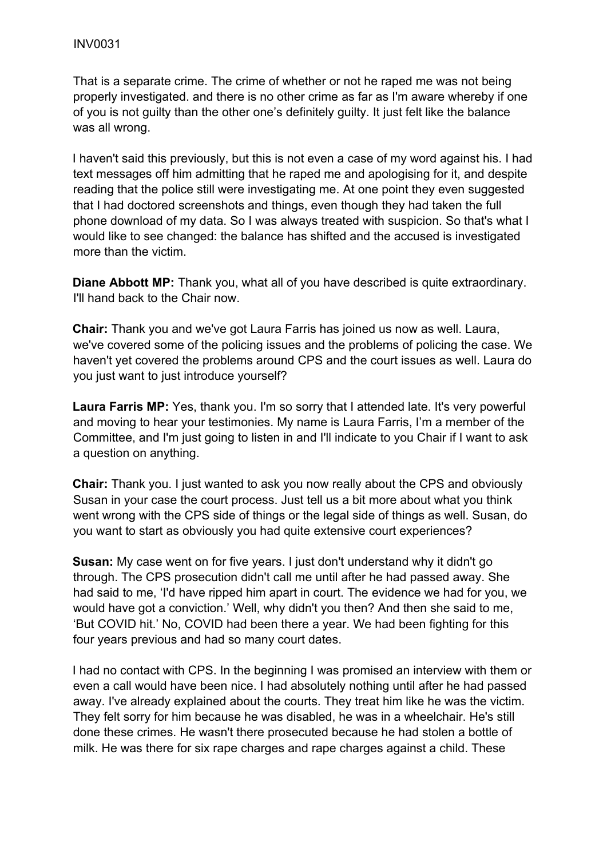That is a separate crime. The crime of whether or not he raped me was not being properly investigated. and there is no other crime as far as I'm aware whereby if one of you is not guilty than the other one's definitely guilty. It just felt like the balance was all wrong.

I haven't said this previously, but this is not even a case of my word against his. I had text messages off him admitting that he raped me and apologising for it, and despite reading that the police still were investigating me. At one point they even suggested that I had doctored screenshots and things, even though they had taken the full phone download of my data. So I was always treated with suspicion. So that's what I would like to see changed: the balance has shifted and the accused is investigated more than the victim.

**Diane Abbott MP:** Thank you, what all of you have described is quite extraordinary. I'll hand back to the Chair now.

**Chair:** Thank you and we've got Laura Farris has joined us now as well. Laura, we've covered some of the policing issues and the problems of policing the case. We haven't yet covered the problems around CPS and the court issues as well. Laura do you just want to just introduce yourself?

**Laura Farris MP:** Yes, thank you. I'm so sorry that I attended late. It's very powerful and moving to hear your testimonies. My name is Laura Farris, I'm a member of the Committee, and I'm just going to listen in and I'll indicate to you Chair if I want to ask a question on anything.

**Chair:** Thank you. I just wanted to ask you now really about the CPS and obviously Susan in your case the court process. Just tell us a bit more about what you think went wrong with the CPS side of things or the legal side of things as well. Susan, do you want to start as obviously you had quite extensive court experiences?

**Susan:** My case went on for five years. I just don't understand why it didn't go through. The CPS prosecution didn't call me until after he had passed away. She had said to me, 'I'd have ripped him apart in court. The evidence we had for you, we would have got a conviction.' Well, why didn't you then? And then she said to me, 'But COVID hit.' No, COVID had been there a year. We had been fighting for this four years previous and had so many court dates.

I had no contact with CPS. In the beginning I was promised an interview with them or even a call would have been nice. I had absolutely nothing until after he had passed away. I've already explained about the courts. They treat him like he was the victim. They felt sorry for him because he was disabled, he was in a wheelchair. He's still done these crimes. He wasn't there prosecuted because he had stolen a bottle of milk. He was there for six rape charges and rape charges against a child. These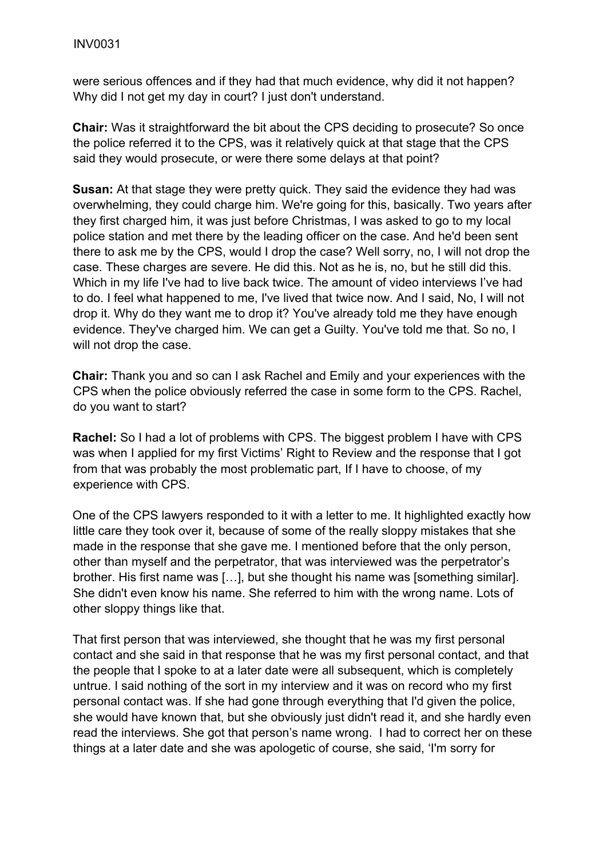were serious offences and if they had that much evidence, why did it not happen? Why did I not get my day in court? I just don't understand.

**Chair:** Was it straightforward the bit about the CPS deciding to prosecute? So once the police referred it to the CPS, was it relatively quick at that stage that the CPS said they would prosecute, or were there some delays at that point?

**Susan:** At that stage they were pretty quick. They said the evidence they had was overwhelming, they could charge him. We're going for this, basically. Two years after they first charged him, it was just before Christmas, I was asked to go to my local police station and met there by the leading officer on the case. And he'd been sent there to ask me by the CPS, would I drop the case? Well sorry, no, I will not drop the case. These charges are severe. He did this. Not as he is, no, but he still did this. Which in my life I've had to live back twice. The amount of video interviews I've had to do. I feel what happened to me, I've lived that twice now. And I said, No, I will not drop it. Why do they want me to drop it? You've already told me they have enough evidence. They've charged him. We can get a Guilty. You've told me that. So no, I will not drop the case.

**Chair:** Thank you and so can I ask Rachel and Emily and your experiences with the CPS when the police obviously referred the case in some form to the CPS. Rachel, do you want to start?

**Rachel:** So I had a lot of problems with CPS. The biggest problem I have with CPS was when I applied for my first Victims' Right to Review and the response that I got from that was probably the most problematic part, If I have to choose, of my experience with CPS.

One of the CPS lawyers responded to it with a letter to me. It highlighted exactly how little care they took over it, because of some of the really sloppy mistakes that she made in the response that she gave me. I mentioned before that the only person, other than myself and the perpetrator, that was interviewed was the perpetrator's brother. His first name was […], but she thought his name was [something similar]. She didn't even know his name. She referred to him with the wrong name. Lots of other sloppy things like that.

That first person that was interviewed, she thought that he was my first personal contact and she said in that response that he was my first personal contact, and that the people that I spoke to at a later date were all subsequent, which is completely untrue. I said nothing of the sort in my interview and it was on record who my first personal contact was. If she had gone through everything that I'd given the police, she would have known that, but she obviously just didn't read it, and she hardly even read the interviews. She got that person's name wrong. I had to correct her on these things at a later date and she was apologetic of course, she said, 'I'm sorry for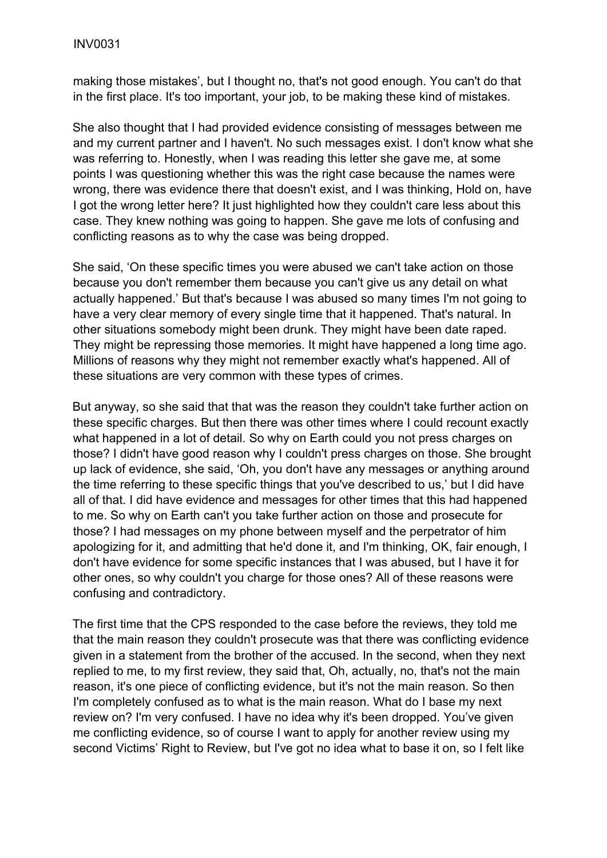making those mistakes', but I thought no, that's not good enough. You can't do that in the first place. It's too important, your job, to be making these kind of mistakes.

She also thought that I had provided evidence consisting of messages between me and my current partner and I haven't. No such messages exist. I don't know what she was referring to. Honestly, when I was reading this letter she gave me, at some points I was questioning whether this was the right case because the names were wrong, there was evidence there that doesn't exist, and I was thinking, Hold on, have I got the wrong letter here? It just highlighted how they couldn't care less about this case. They knew nothing was going to happen. She gave me lots of confusing and conflicting reasons as to why the case was being dropped.

She said, 'On these specific times you were abused we can't take action on those because you don't remember them because you can't give us any detail on what actually happened.' But that's because I was abused so many times I'm not going to have a very clear memory of every single time that it happened. That's natural. In other situations somebody might been drunk. They might have been date raped. They might be repressing those memories. It might have happened a long time ago. Millions of reasons why they might not remember exactly what's happened. All of these situations are very common with these types of crimes.

But anyway, so she said that that was the reason they couldn't take further action on these specific charges. But then there was other times where I could recount exactly what happened in a lot of detail. So why on Earth could you not press charges on those? I didn't have good reason why I couldn't press charges on those. She brought up lack of evidence, she said, 'Oh, you don't have any messages or anything around the time referring to these specific things that you've described to us,' but I did have all of that. I did have evidence and messages for other times that this had happened to me. So why on Earth can't you take further action on those and prosecute for those? I had messages on my phone between myself and the perpetrator of him apologizing for it, and admitting that he'd done it, and I'm thinking, OK, fair enough, I don't have evidence for some specific instances that I was abused, but I have it for other ones, so why couldn't you charge for those ones? All of these reasons were confusing and contradictory.

The first time that the CPS responded to the case before the reviews, they told me that the main reason they couldn't prosecute was that there was conflicting evidence given in a statement from the brother of the accused. In the second, when they next replied to me, to my first review, they said that, Oh, actually, no, that's not the main reason, it's one piece of conflicting evidence, but it's not the main reason. So then I'm completely confused as to what is the main reason. What do I base my next review on? I'm very confused. I have no idea why it's been dropped. You've given me conflicting evidence, so of course I want to apply for another review using my second Victims' Right to Review, but I've got no idea what to base it on, so I felt like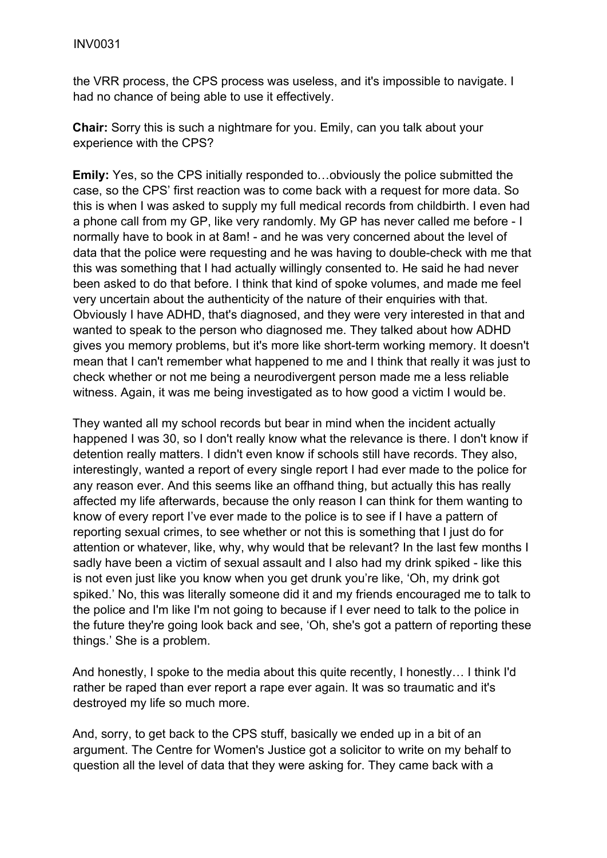the VRR process, the CPS process was useless, and it's impossible to navigate. I had no chance of being able to use it effectively.

**Chair:** Sorry this is such a nightmare for you. Emily, can you talk about your experience with the CPS?

**Emily:** Yes, so the CPS initially responded to…obviously the police submitted the case, so the CPS' first reaction was to come back with a request for more data. So this is when I was asked to supply my full medical records from childbirth. I even had a phone call from my GP, like very randomly. My GP has never called me before - I normally have to book in at 8am! - and he was very concerned about the level of data that the police were requesting and he was having to double-check with me that this was something that I had actually willingly consented to. He said he had never been asked to do that before. I think that kind of spoke volumes, and made me feel very uncertain about the authenticity of the nature of their enquiries with that. Obviously I have ADHD, that's diagnosed, and they were very interested in that and wanted to speak to the person who diagnosed me. They talked about how ADHD gives you memory problems, but it's more like short-term working memory. It doesn't mean that I can't remember what happened to me and I think that really it was just to check whether or not me being a neurodivergent person made me a less reliable witness. Again, it was me being investigated as to how good a victim I would be.

They wanted all my school records but bear in mind when the incident actually happened I was 30, so I don't really know what the relevance is there. I don't know if detention really matters. I didn't even know if schools still have records. They also, interestingly, wanted a report of every single report I had ever made to the police for any reason ever. And this seems like an offhand thing, but actually this has really affected my life afterwards, because the only reason I can think for them wanting to know of every report I've ever made to the police is to see if I have a pattern of reporting sexual crimes, to see whether or not this is something that I just do for attention or whatever, like, why, why would that be relevant? In the last few months I sadly have been a victim of sexual assault and I also had my drink spiked - like this is not even just like you know when you get drunk you're like, 'Oh, my drink got spiked.' No, this was literally someone did it and my friends encouraged me to talk to the police and I'm like I'm not going to because if I ever need to talk to the police in the future they're going look back and see, 'Oh, she's got a pattern of reporting these things.' She is a problem.

And honestly, I spoke to the media about this quite recently, I honestly… I think I'd rather be raped than ever report a rape ever again. It was so traumatic and it's destroyed my life so much more.

And, sorry, to get back to the CPS stuff, basically we ended up in a bit of an argument. The Centre for Women's Justice got a solicitor to write on my behalf to question all the level of data that they were asking for. They came back with a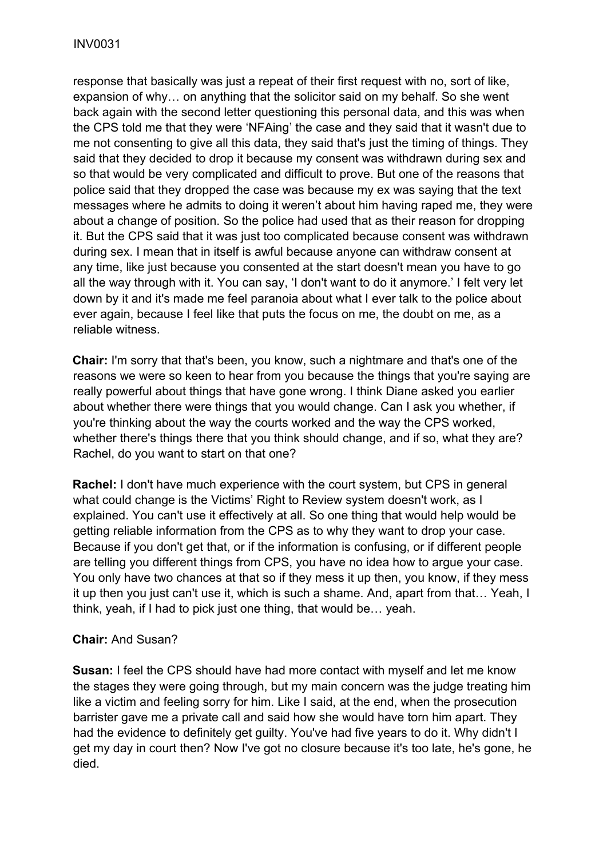response that basically was just a repeat of their first request with no, sort of like, expansion of why… on anything that the solicitor said on my behalf. So she went back again with the second letter questioning this personal data, and this was when the CPS told me that they were 'NFAing' the case and they said that it wasn't due to me not consenting to give all this data, they said that's just the timing of things. They said that they decided to drop it because my consent was withdrawn during sex and so that would be very complicated and difficult to prove. But one of the reasons that police said that they dropped the case was because my ex was saying that the text messages where he admits to doing it weren't about him having raped me, they were about a change of position. So the police had used that as their reason for dropping it. But the CPS said that it was just too complicated because consent was withdrawn during sex. I mean that in itself is awful because anyone can withdraw consent at any time, like just because you consented at the start doesn't mean you have to go all the way through with it. You can say, 'I don't want to do it anymore.' I felt very let down by it and it's made me feel paranoia about what I ever talk to the police about ever again, because I feel like that puts the focus on me, the doubt on me, as a reliable witness.

**Chair:** I'm sorry that that's been, you know, such a nightmare and that's one of the reasons we were so keen to hear from you because the things that you're saying are really powerful about things that have gone wrong. I think Diane asked you earlier about whether there were things that you would change. Can I ask you whether, if you're thinking about the way the courts worked and the way the CPS worked, whether there's things there that you think should change, and if so, what they are? Rachel, do you want to start on that one?

**Rachel:** I don't have much experience with the court system, but CPS in general what could change is the Victims' Right to Review system doesn't work, as I explained. You can't use it effectively at all. So one thing that would help would be getting reliable information from the CPS as to why they want to drop your case. Because if you don't get that, or if the information is confusing, or if different people are telling you different things from CPS, you have no idea how to argue your case. You only have two chances at that so if they mess it up then, you know, if they mess it up then you just can't use it, which is such a shame. And, apart from that… Yeah, I think, yeah, if I had to pick just one thing, that would be… yeah.

# **Chair:** And Susan?

**Susan:** I feel the CPS should have had more contact with myself and let me know the stages they were going through, but my main concern was the judge treating him like a victim and feeling sorry for him. Like I said, at the end, when the prosecution barrister gave me a private call and said how she would have torn him apart. They had the evidence to definitely get guilty. You've had five years to do it. Why didn't I get my day in court then? Now I've got no closure because it's too late, he's gone, he died.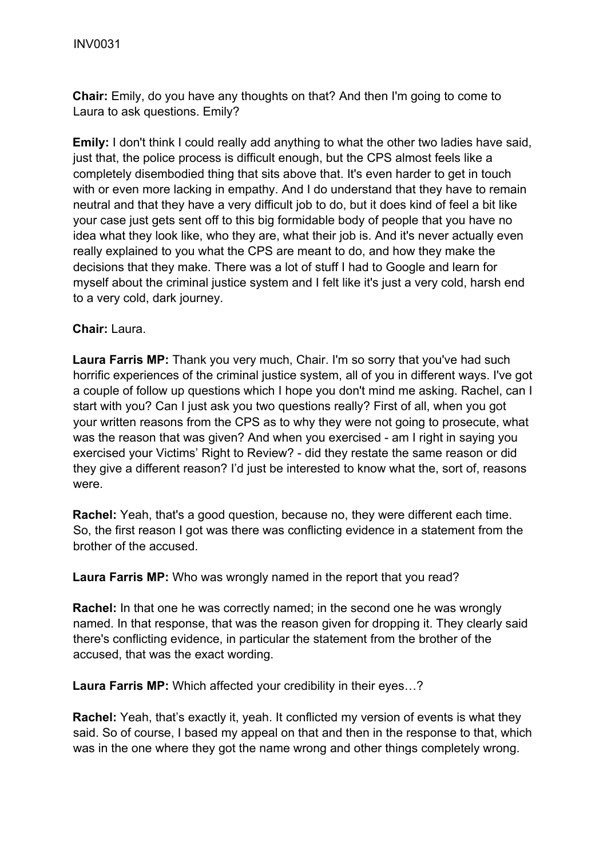**Chair:** Emily, do you have any thoughts on that? And then I'm going to come to Laura to ask questions. Emily?

**Emily:** I don't think I could really add anything to what the other two ladies have said, just that, the police process is difficult enough, but the CPS almost feels like a completely disembodied thing that sits above that. It's even harder to get in touch with or even more lacking in empathy. And I do understand that they have to remain neutral and that they have a very difficult job to do, but it does kind of feel a bit like your case just gets sent off to this big formidable body of people that you have no idea what they look like, who they are, what their job is. And it's never actually even really explained to you what the CPS are meant to do, and how they make the decisions that they make. There was a lot of stuff I had to Google and learn for myself about the criminal justice system and I felt like it's just a very cold, harsh end to a very cold, dark journey.

**Chair:** Laura.

**Laura Farris MP:** Thank you very much, Chair. I'm so sorry that you've had such horrific experiences of the criminal justice system, all of you in different ways. I've got a couple of follow up questions which I hope you don't mind me asking. Rachel, can I start with you? Can I just ask you two questions really? First of all, when you got your written reasons from the CPS as to why they were not going to prosecute, what was the reason that was given? And when you exercised - am I right in saying you exercised your Victims' Right to Review? - did they restate the same reason or did they give a different reason? I'd just be interested to know what the, sort of, reasons were.

**Rachel:** Yeah, that's a good question, because no, they were different each time. So, the first reason I got was there was conflicting evidence in a statement from the brother of the accused.

**Laura Farris MP:** Who was wrongly named in the report that you read?

**Rachel:** In that one he was correctly named; in the second one he was wrongly named. In that response, that was the reason given for dropping it. They clearly said there's conflicting evidence, in particular the statement from the brother of the accused, that was the exact wording.

**Laura Farris MP:** Which affected your credibility in their eyes…?

**Rachel:** Yeah, that's exactly it, yeah. It conflicted my version of events is what they said. So of course, I based my appeal on that and then in the response to that, which was in the one where they got the name wrong and other things completely wrong.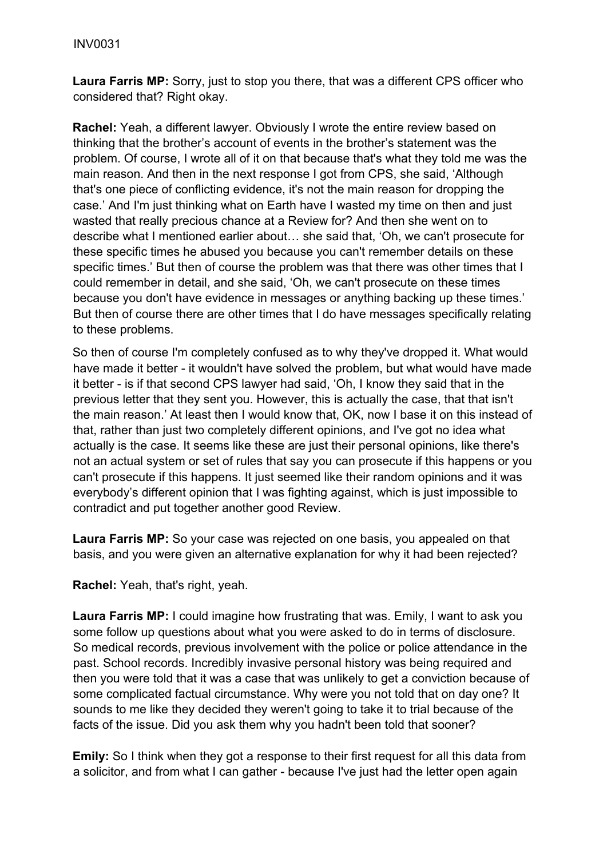**Laura Farris MP:** Sorry, just to stop you there, that was a different CPS officer who considered that? Right okay.

**Rachel:** Yeah, a different lawyer. Obviously I wrote the entire review based on thinking that the brother's account of events in the brother's statement was the problem. Of course, I wrote all of it on that because that's what they told me was the main reason. And then in the next response I got from CPS, she said, 'Although that's one piece of conflicting evidence, it's not the main reason for dropping the case.' And I'm just thinking what on Earth have I wasted my time on then and just wasted that really precious chance at a Review for? And then she went on to describe what I mentioned earlier about… she said that, 'Oh, we can't prosecute for these specific times he abused you because you can't remember details on these specific times.' But then of course the problem was that there was other times that I could remember in detail, and she said, 'Oh, we can't prosecute on these times because you don't have evidence in messages or anything backing up these times.' But then of course there are other times that I do have messages specifically relating to these problems.

So then of course I'm completely confused as to why they've dropped it. What would have made it better - it wouldn't have solved the problem, but what would have made it better - is if that second CPS lawyer had said, 'Oh, I know they said that in the previous letter that they sent you. However, this is actually the case, that that isn't the main reason.' At least then I would know that, OK, now I base it on this instead of that, rather than just two completely different opinions, and I've got no idea what actually is the case. It seems like these are just their personal opinions, like there's not an actual system or set of rules that say you can prosecute if this happens or you can't prosecute if this happens. It just seemed like their random opinions and it was everybody's different opinion that I was fighting against, which is just impossible to contradict and put together another good Review.

**Laura Farris MP:** So your case was rejected on one basis, you appealed on that basis, and you were given an alternative explanation for why it had been rejected?

**Rachel:** Yeah, that's right, yeah.

**Laura Farris MP:** I could imagine how frustrating that was. Emily, I want to ask you some follow up questions about what you were asked to do in terms of disclosure. So medical records, previous involvement with the police or police attendance in the past. School records. Incredibly invasive personal history was being required and then you were told that it was a case that was unlikely to get a conviction because of some complicated factual circumstance. Why were you not told that on day one? It sounds to me like they decided they weren't going to take it to trial because of the facts of the issue. Did you ask them why you hadn't been told that sooner?

**Emily:** So I think when they got a response to their first request for all this data from a solicitor, and from what I can gather - because I've just had the letter open again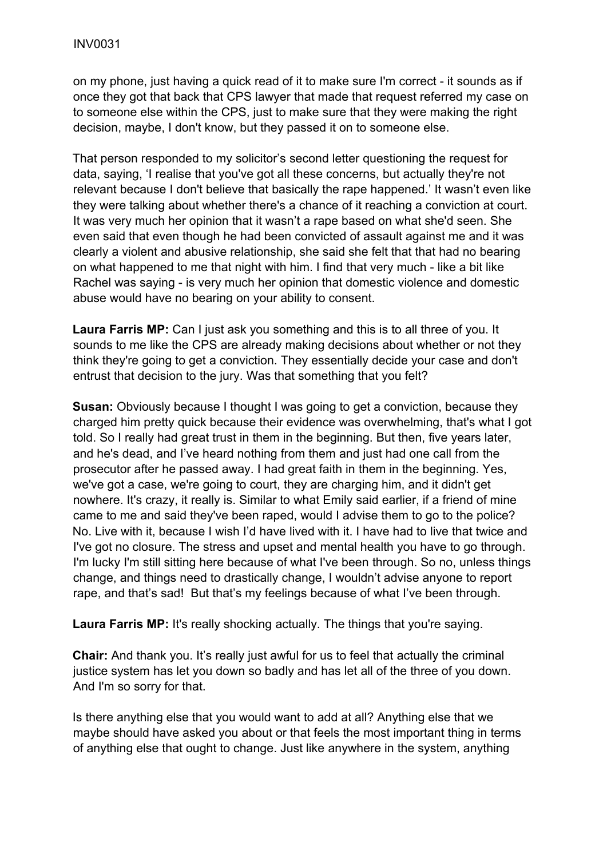on my phone, just having a quick read of it to make sure I'm correct - it sounds as if once they got that back that CPS lawyer that made that request referred my case on to someone else within the CPS, just to make sure that they were making the right decision, maybe, I don't know, but they passed it on to someone else.

That person responded to my solicitor's second letter questioning the request for data, saying, 'I realise that you've got all these concerns, but actually they're not relevant because I don't believe that basically the rape happened.' It wasn't even like they were talking about whether there's a chance of it reaching a conviction at court. It was very much her opinion that it wasn't a rape based on what she'd seen. She even said that even though he had been convicted of assault against me and it was clearly a violent and abusive relationship, she said she felt that that had no bearing on what happened to me that night with him. I find that very much - like a bit like Rachel was saying - is very much her opinion that domestic violence and domestic abuse would have no bearing on your ability to consent.

**Laura Farris MP:** Can I just ask you something and this is to all three of you. It sounds to me like the CPS are already making decisions about whether or not they think they're going to get a conviction. They essentially decide your case and don't entrust that decision to the jury. Was that something that you felt?

**Susan:** Obviously because I thought I was going to get a conviction, because they charged him pretty quick because their evidence was overwhelming, that's what I got told. So I really had great trust in them in the beginning. But then, five years later, and he's dead, and I've heard nothing from them and just had one call from the prosecutor after he passed away. I had great faith in them in the beginning. Yes, we've got a case, we're going to court, they are charging him, and it didn't get nowhere. It's crazy, it really is. Similar to what Emily said earlier, if a friend of mine came to me and said they've been raped, would I advise them to go to the police? No. Live with it, because I wish I'd have lived with it. I have had to live that twice and I've got no closure. The stress and upset and mental health you have to go through. I'm lucky I'm still sitting here because of what I've been through. So no, unless things change, and things need to drastically change, I wouldn't advise anyone to report rape, and that's sad! But that's my feelings because of what I've been through.

**Laura Farris MP:** It's really shocking actually. The things that you're saying.

**Chair:** And thank you. It's really just awful for us to feel that actually the criminal justice system has let you down so badly and has let all of the three of you down. And I'm so sorry for that.

Is there anything else that you would want to add at all? Anything else that we maybe should have asked you about or that feels the most important thing in terms of anything else that ought to change. Just like anywhere in the system, anything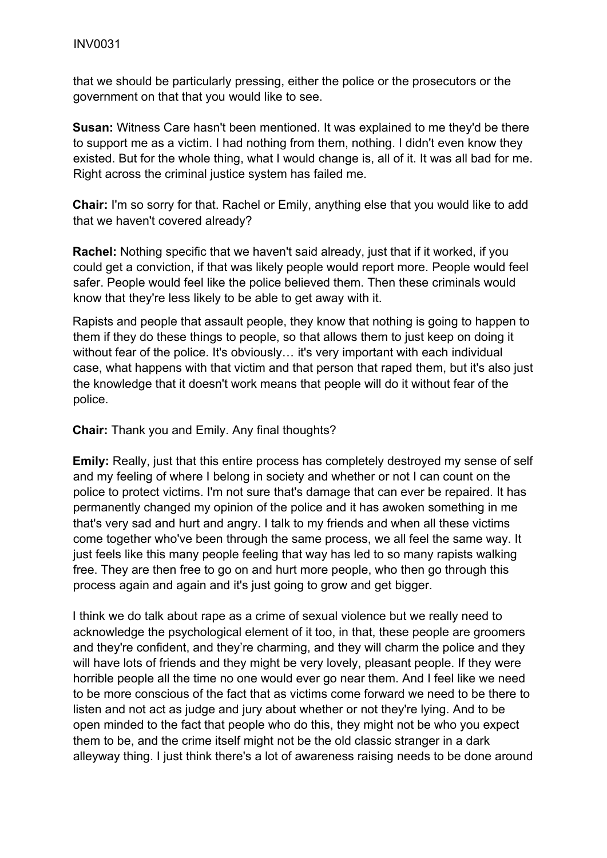that we should be particularly pressing, either the police or the prosecutors or the government on that that you would like to see.

**Susan:** Witness Care hasn't been mentioned. It was explained to me they'd be there to support me as a victim. I had nothing from them, nothing. I didn't even know they existed. But for the whole thing, what I would change is, all of it. It was all bad for me. Right across the criminal justice system has failed me.

**Chair:** I'm so sorry for that. Rachel or Emily, anything else that you would like to add that we haven't covered already?

**Rachel:** Nothing specific that we haven't said already, just that if it worked, if you could get a conviction, if that was likely people would report more. People would feel safer. People would feel like the police believed them. Then these criminals would know that they're less likely to be able to get away with it.

Rapists and people that assault people, they know that nothing is going to happen to them if they do these things to people, so that allows them to just keep on doing it without fear of the police. It's obviously... it's very important with each individual case, what happens with that victim and that person that raped them, but it's also just the knowledge that it doesn't work means that people will do it without fear of the police.

**Chair:** Thank you and Emily. Any final thoughts?

**Emily:** Really, just that this entire process has completely destroyed my sense of self and my feeling of where I belong in society and whether or not I can count on the police to protect victims. I'm not sure that's damage that can ever be repaired. It has permanently changed my opinion of the police and it has awoken something in me that's very sad and hurt and angry. I talk to my friends and when all these victims come together who've been through the same process, we all feel the same way. It just feels like this many people feeling that way has led to so many rapists walking free. They are then free to go on and hurt more people, who then go through this process again and again and it's just going to grow and get bigger.

I think we do talk about rape as a crime of sexual violence but we really need to acknowledge the psychological element of it too, in that, these people are groomers and they're confident, and they're charming, and they will charm the police and they will have lots of friends and they might be very lovely, pleasant people. If they were horrible people all the time no one would ever go near them. And I feel like we need to be more conscious of the fact that as victims come forward we need to be there to listen and not act as judge and jury about whether or not they're lying. And to be open minded to the fact that people who do this, they might not be who you expect them to be, and the crime itself might not be the old classic stranger in a dark alleyway thing. I just think there's a lot of awareness raising needs to be done around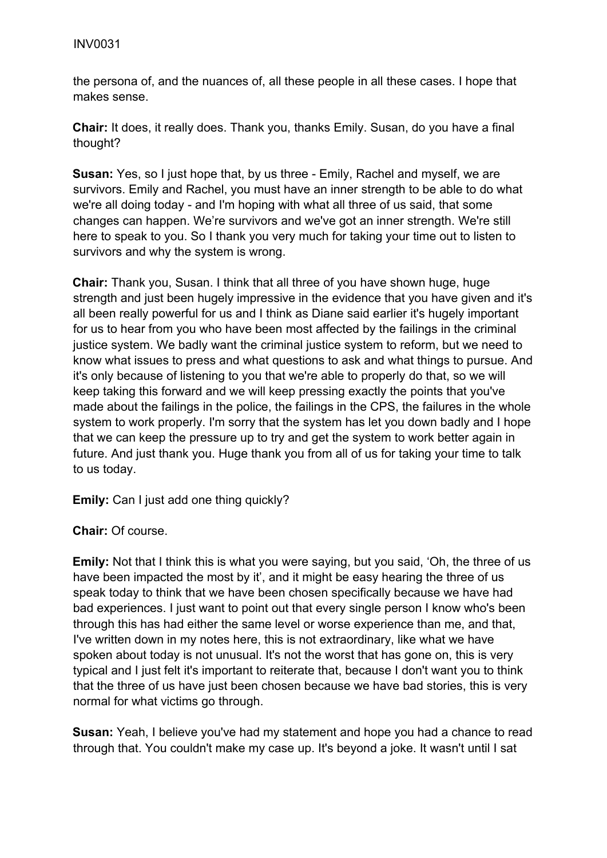the persona of, and the nuances of, all these people in all these cases. I hope that makes sense.

**Chair:** It does, it really does. Thank you, thanks Emily. Susan, do you have a final thought?

**Susan:** Yes, so I just hope that, by us three - Emily, Rachel and myself, we are survivors. Emily and Rachel, you must have an inner strength to be able to do what we're all doing today - and I'm hoping with what all three of us said, that some changes can happen. We're survivors and we've got an inner strength. We're still here to speak to you. So I thank you very much for taking your time out to listen to survivors and why the system is wrong.

**Chair:** Thank you, Susan. I think that all three of you have shown huge, huge strength and just been hugely impressive in the evidence that you have given and it's all been really powerful for us and I think as Diane said earlier it's hugely important for us to hear from you who have been most affected by the failings in the criminal justice system. We badly want the criminal justice system to reform, but we need to know what issues to press and what questions to ask and what things to pursue. And it's only because of listening to you that we're able to properly do that, so we will keep taking this forward and we will keep pressing exactly the points that you've made about the failings in the police, the failings in the CPS, the failures in the whole system to work properly. I'm sorry that the system has let you down badly and I hope that we can keep the pressure up to try and get the system to work better again in future. And just thank you. Huge thank you from all of us for taking your time to talk to us today.

**Emily:** Can I just add one thing quickly?

**Chair:** Of course.

**Emily:** Not that I think this is what you were saying, but you said, 'Oh, the three of us have been impacted the most by it', and it might be easy hearing the three of us speak today to think that we have been chosen specifically because we have had bad experiences. I just want to point out that every single person I know who's been through this has had either the same level or worse experience than me, and that, I've written down in my notes here, this is not extraordinary, like what we have spoken about today is not unusual. It's not the worst that has gone on, this is very typical and I just felt it's important to reiterate that, because I don't want you to think that the three of us have just been chosen because we have bad stories, this is very normal for what victims go through.

**Susan:** Yeah, I believe you've had my statement and hope you had a chance to read through that. You couldn't make my case up. It's beyond a joke. It wasn't until I sat